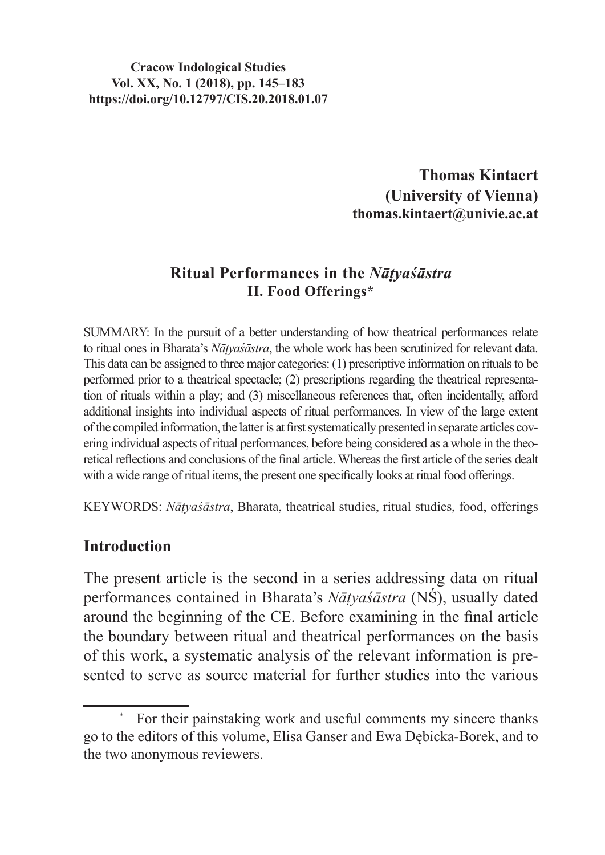#### **Cracow Indological Studies Vol. XX, No. 1 (2018), pp. 145–183 https://doi.org/10.12797/CIS.20.2018.01.07**

**Thomas Kintaert (University of Vienna) thomas.kintaert@univie.ac.at**

#### **Ritual Performances in the** *Nāṭyaśāstra* **II. Food Offerings\***

SUMMARY: In the pursuit of a better understanding of how theatrical performances relate to ritual ones in Bharata's *Nāṭyaśāstra*, the whole work has been scrutinized for relevant data. This data can be assigned to three major categories: (1) prescriptive information on rituals to be performed prior to a theatrical spectacle; (2) prescriptions regarding the theatrical representation of rituals within a play; and (3) miscellaneous references that, often incidentally, afford additional insights into individual aspects of ritual performances. In view of the large extent ofthe compiled information, the latter is at first systematically presented in separate articles covering individual aspects of ritual performances, before being considered as a whole in the theoretical reflections and conclusions of the final article. Whereas the first article of the series dealt with a wide range of ritual items, the present one specifically looks at ritual food offerings.

KEYWORDS: *Nāṭyaśāstra*, Bharata, theatrical studies, ritual studies, food, offerings

#### **Introduction**

The present article is the second in a series addressing data on ritual performances contained in Bharata's *Nāṭyaśāstra* (NŚ), usually dated around the beginning of the CE. Before examining in the final article the boundary between ritual and theatrical performances on the basis of this work, a systematic analysis of the relevant information is presented to serve as source material for further studies into the various

For their painstaking work and useful comments my sincere thanks go to the editors of this volume, Elisa Ganser and Ewa Dębicka-Borek, and to the two anonymous reviewers.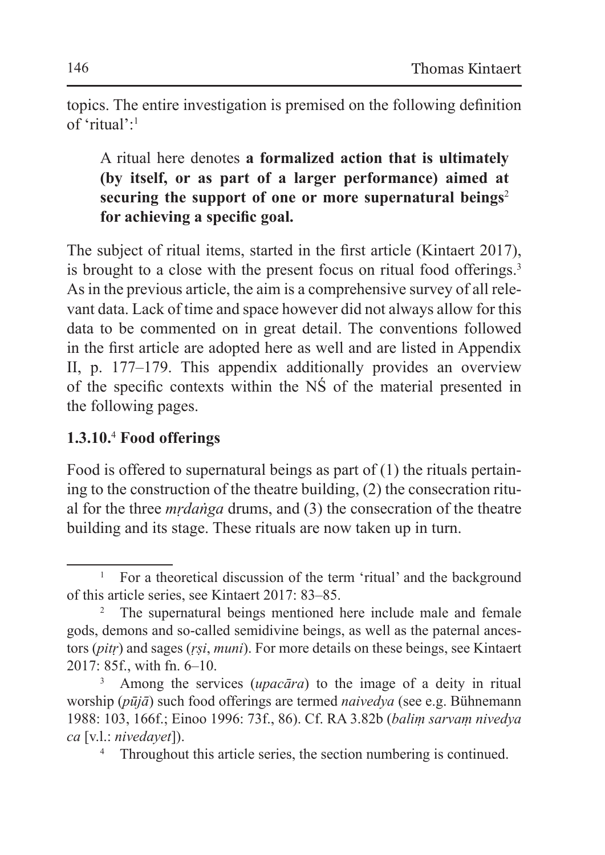topics. The entire investigation is premised on the following definition of 'ritual':1

A ritual here denotes **a formalized action that is ultimately (by itself, or as part of a larger performance) aimed at securing the support of one or more supernatural beings**<sup>2</sup> **for achieving a specific goal.**

The subject of ritual items, started in the first article (Kintaert 2017), is brought to a close with the present focus on ritual food offerings.<sup>3</sup> As in the previous article, the aim is a comprehensive survey of all relevant data. Lack of time and space however did not always allow for this data to be commented on in great detail. The conventions followed in the first article are adopted here as well and are listed in Appendix II, p. 177–179. This appendix additionally provides an overview of the specific contexts within the NŚ of the material presented in the following pages.

## **1.3.10.**<sup>4</sup>  **Food offerings**

Food is offered to supernatural beings as part of (1) the rituals pertaining to the construction of the theatre building, (2) the consecration ritual for the three *mṛdaṅga* drums, and (3) the consecration of the theatre building and its stage. These rituals are now taken up in turn.

<sup>&</sup>lt;sup>1</sup> For a theoretical discussion of the term 'ritual' and the background of this article series, see Kintaert 2017: 83–85.

<sup>&</sup>lt;sup>2</sup> The supernatural beings mentioned here include male and female gods, demons and so-called semidivine beings, as well as the paternal ancestors (*pitṛ*) and sages (*ṛṣi*, *muni*). For more details on these beings, see Kintaert 2017: 85f., with fn. 6–10.

<sup>3</sup> Among the services (*upacāra*) to the image of a deity in ritual worship (*pūjā*) such food offerings are termed *naivedya* (see e.g. Bühnemann 1988: 103, 166f.; Einoo 1996: 73f., 86). Cf. RA 3.82b (*baliṃ sarvaṃ nivedya ca* [v.l.: *nivedayet*]).

<sup>&</sup>lt;sup>4</sup> Throughout this article series, the section numbering is continued.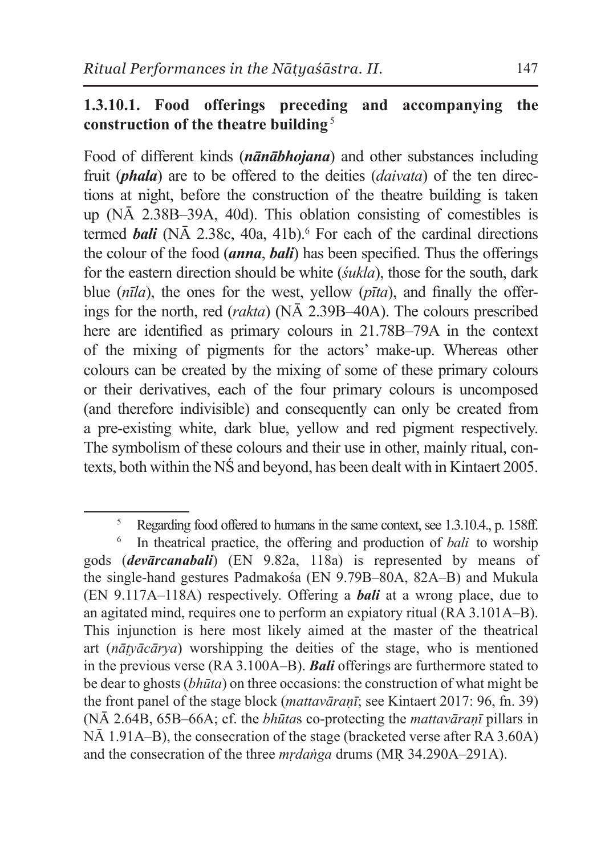#### **1.3.10.1. Food offerings preceding and accompanying the construction of the theatre building**<sup>5</sup>

Food of different kinds (*nānābhojana*) and other substances including fruit (*phala*) are to be offered to the deities (*daivata*) of the ten directions at night, before the construction of the theatre building is taken up (NĀ 2.38B–39A, 40d). This oblation consisting of comestibles is termed *bali* (NA 2.38c, 40a, 41b). For each of the cardinal directions the colour of the food (*anna*, *bali*) has been specified. Thus the offerings for the eastern direction should be white (*śukla*), those for the south, dark blue (*nīla*), the ones for the west, yellow (*pīta*), and finally the offerings for the north, red (*rakta*) (NĀ 2.39B–40A). The colours prescribed here are identified as primary colours in 21.78B–79A in the context of the mixing of pigments for the actors' make-up. Whereas other colours can be created by the mixing of some of these primary colours or their derivatives, each of the four primary colours is uncomposed (and therefore indivisible) and consequently can only be created from a pre-existing white, dark blue, yellow and red pigment respectively. The symbolism of these colours and their use in other, mainly ritual, contexts, both within the NŚ and beyond, has been dealt with in Kintaert 2005.

<sup>&</sup>lt;sup>5</sup> Regarding food offered to humans in the same context, see 1.3.10.4., p. 158ff.

<sup>6</sup> In theatrical practice, the offering and production of *bali* to worship gods (*devārcanabali*) (EN 9.82a, 118a) is represented by means of the single-hand gestures Padmakośa (EN 9.79B–80A, 82A–B) and Mukula (EN 9.117A–118A) respectively. Offering a *bali* at a wrong place, due to an agitated mind, requires one to perform an expiatory ritual (RA 3.101A–B). This injunction is here most likely aimed at the master of the theatrical art (*nāṭyācārya*) worshipping the deities of the stage, who is mentioned in the previous verse (RA 3.100A–B). *Bali* offerings are furthermore stated to be dear to ghosts (*bhūta*) on three occasions: the construction of what might be the front panel of the stage block (*mattavāraṇī*; see Kintaert 2017: 96, fn. 39) (NĀ 2.64B, 65B–66A; cf. the *bhūta*s co-protecting the *mattavāraṇī* pillars in NĀ 1.91A–B), the consecration of the stage (bracketed verse after RA 3.60A) and the consecration of the three *mṛdaṅga* drums (MṚ 34.290A–291A).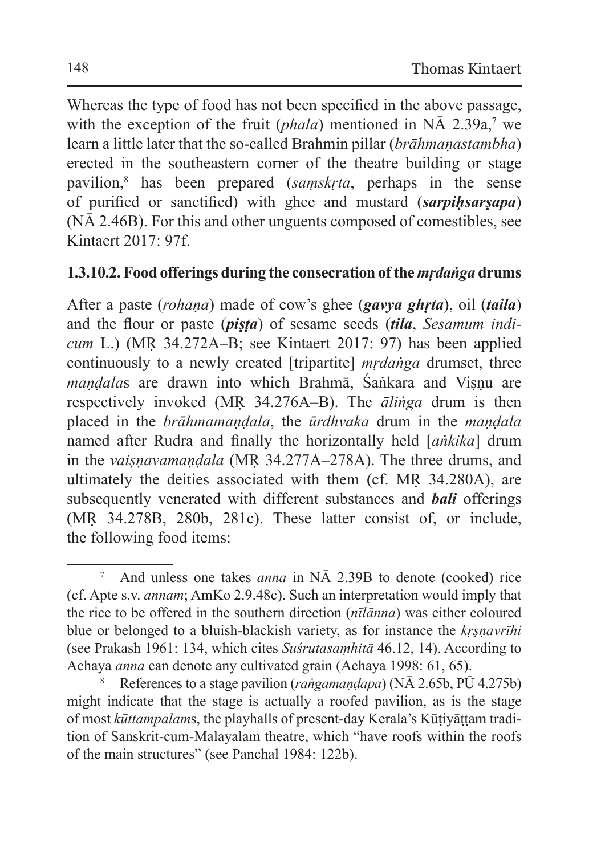Whereas the type of food has not been specified in the above passage, with the exception of the fruit  $(phala)$  mentioned in NA 2.39a,<sup>7</sup> we learn a little later that the so-called Brahmin pillar (*brāhmaṇastambha*) erected in the southeastern corner of the theatre building or stage pavilion,8 has been prepared (*saṃskṛta*, perhaps in the sense of purified or sanctified) with ghee and mustard (*sarpiḥsarṣapa*) (NĀ 2.46B). For this and other unguents composed of comestibles, see Kintaert 2017: 97f.

### **1.3.10.2. Food offerings during the consecration ofthe***mṛdaṅga* **drums**

After a paste (*rohaṇa*) made of cow's ghee (*gavya ghṛta*), oil (*taila*) and the flour or paste (*piṣṭa*) of sesame seeds (*tila*, *Sesamum indicum* L.) (MṚ 34.272A–B; see Kintaert 2017: 97) has been applied continuously to a newly created [tripartite] *mṛdaṅga* drumset, three *mandalas* are drawn into which Brahmā, Śaṅkara and Visnu are respectively invoked (MṚ 34.276A–B). The *āliṅga* drum is then placed in the *brāhmamaṇḍala*, the *ūrdhvaka* drum in the *maṇḍala* named after Rudra and finally the horizontally held [*aṅkika*] drum in the *vaiṣṇavamaṇḍala* (MṚ 34.277A–278A). The three drums, and ultimately the deities associated with them (cf. MṚ 34.280A), are subsequently venerated with different substances and *bali* offerings (MṚ 34.278B, 280b, 281c). These latter consist of, or include, the following food items:

<sup>7</sup> And unless one takes *anna* in NĀ 2.39B to denote (cooked) rice (cf. Apte s.v. *annam*; AmKo 2.9.48c). Such an interpretation would imply that the rice to be offered in the southern direction (*nīlānna*) was either coloured blue or belonged to a bluish-blackish variety, as for instance the *kṛṣṇavrīhi* (see Prakash 1961: 134, which cites *Suśrutasaṃhitā* 46.12, 14). According to Achaya *anna* can denote any cultivated grain (Achaya 1998: 61, 65).

<sup>8</sup> References to a stage pavilion (*raṅgamaṇḍapa*) (NĀ 2.65b, PŪ 4.275b) might indicate that the stage is actually a roofed pavilion, as is the stage of most *kūttampalam*s, the playhalls of present-day Kerala's Kūṭiyāṭṭam tradition of Sanskrit-cum-Malayalam theatre, which "have roofs within the roofs of the main structures" (see Panchal 1984: 122b).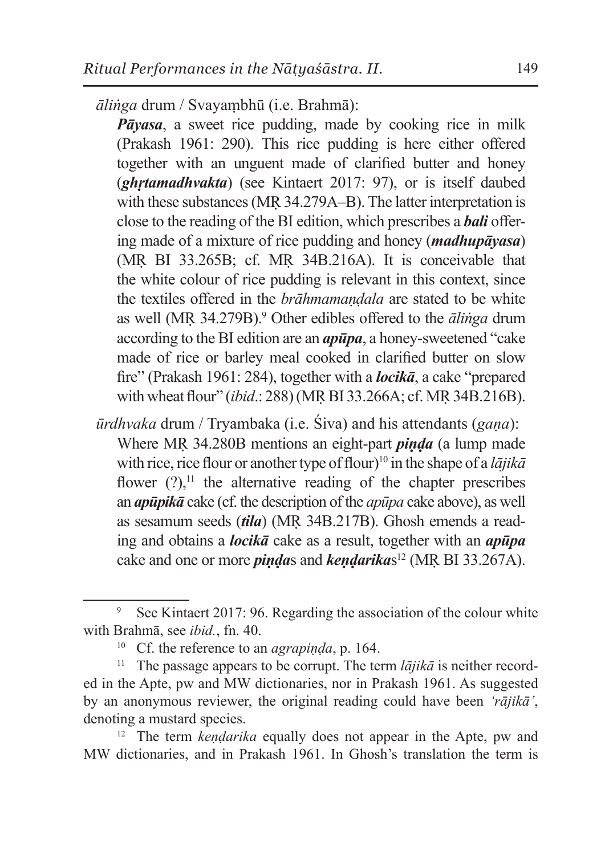*āliṅga* drum / Svayaṃbhū (i.e. Brahmā):

*Pāyasa*, a sweet rice pudding, made by cooking rice in milk (Prakash 1961: 290). This rice pudding is here either offered together with an unguent made of clarified butter and honey (*ghṛtamadhvakta*) (see Kintaert 2017: 97), or is itself daubed with these substances (MR 34.279A–B). The latter interpretation is close to the reading of the BI edition, which prescribes a *bali* offering made of a mixture of rice pudding and honey (*madhupāyasa*) (MṚ BI 33.265B; cf. MṚ 34B.216A). It is conceivable that the white colour of rice pudding is relevant in this context, since the textiles offered in the *brāhmamaṇḍala* are stated to be white as well (MṚ 34.279B).<sup>9</sup> Other edibles offered to the *āliṅga* drum according to the BI edition are an *apūpa*, a honey-sweetened "cake made of rice or barley meal cooked in clarified butter on slow fire" (Prakash 1961: 284), together with a *locikā*, a cake "prepared with wheat flour" (*ibid*.: 288) (MṚ BI 33.266A; cf. MṚ 34B.216B).

*ūrdhvaka* drum / Tryambaka (i.e. Śiva) and his attendants (*gaṇa*): Where MṚ 34.280B mentions an eight-part *piṇḍa* (a lump made with rice, rice flour or another type of flour)<sup>10</sup> in the shape of a *lājikā* flower  $(?)$ ,<sup>11</sup> the alternative reading of the chapter prescribes an *apūpikā* cake (cf. the description of the *apūpa* cake above), as well as sesamum seeds (*tila*) (MṚ 34B.217B). Ghosh emends a reading and obtains a *locikā* cake as a result, together with an *apūpa* cake and one or more *pindas* and *kendarikas*<sup>12</sup> (MR BI 33.267A).

<sup>&</sup>lt;sup>9</sup> See Kintaert 2017: 96. Regarding the association of the colour white with Brahmā, see *ibid.*, fn. 40.

<sup>&</sup>lt;sup>10</sup> Cf. the reference to an *agrapinda*, p. 164.

<sup>11</sup> The passage appears to be corrupt. The term *lājikā* is neither recorded in the Apte, pw and MW dictionaries, nor in Prakash 1961. As suggested by an anonymous reviewer, the original reading could have been *'rājikā'*, denoting a mustard species.

<sup>&</sup>lt;sup>12</sup> The term *kendarika* equally does not appear in the Apte, pw and MW dictionaries, and in Prakash 1961. In Ghosh's translation the term is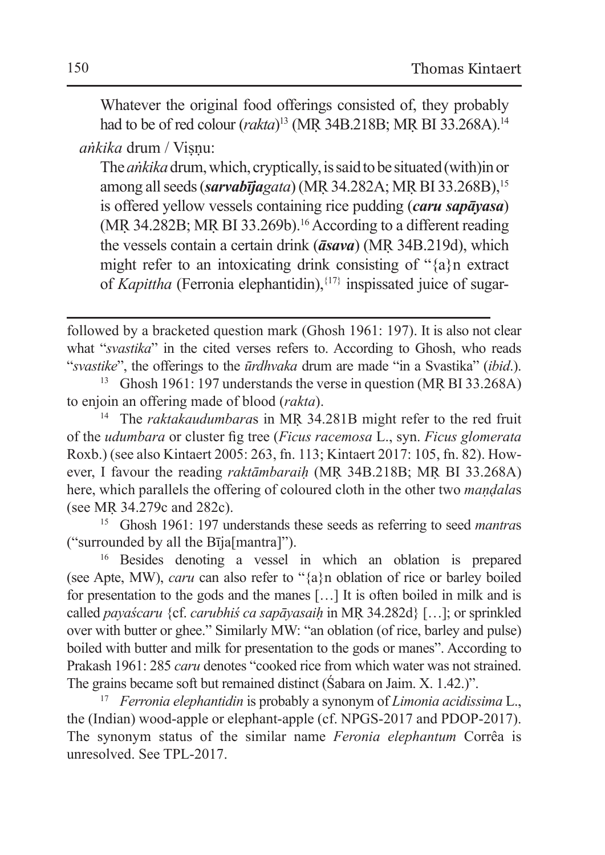Whatever the original food offerings consisted of, they probably had to be of red colour (*rakta*) <sup>13</sup> (MṚ 34B.218B; MṚ BI 33.268A).<sup>14</sup>

*aṅkika* drum / Viṣṇu:

The*aṅkika* drum, which, cryptically, is said to be situated (with)inor among all seeds (*sarvabījagata*) (MṚ 34.282A; MṚ BI 33.268B),<sup>15</sup> is offered yellow vessels containing rice pudding (*caru sapāyasa*) (MṚ 34.282B; MṚ BI 33.269b).16 According to a different reading the vessels contain a certain drink (*āsava*) (MṚ 34B.219d), which might refer to an intoxicating drink consisting of "{a}n extract of *Kapittha* (Ferronia elephantidin),{17} inspissated juice of sugar-

followed by a bracketed question mark (Ghosh 1961: 197). It is also not clear what "*svastika*" in the cited verses refers to. According to Ghosh, who reads "*svastike*", the offerings to the *ūrdhvaka* drum are made "in a Svastika" (*ibid*.).

<sup>13</sup> Ghosh 1961: 197 understands the verse in question (MṚ BI 33.268A) to enjoin an offering made of blood (*rakta*).

<sup>14</sup> The *raktakaudumbaras* in MR 34.281B might refer to the red fruit of the *udumbara* or cluster fig tree (*Ficus racemosa* L., syn. *Ficus glomerata* Roxb.) (see also Kintaert 2005: 263, fn. 113; Kintaert 2017: 105, fn. 82). However, I favour the reading *raktāmbaraiḥ* (MṚ 34B.218B; MṚ BI 33.268A) here, which parallels the offering of coloured cloth in the other two *maṇḍala*s (see MṚ 34.279c and 282c).

<sup>15</sup> Ghosh 1961: 197 understands these seeds as referring to seed *mantra*s ("surrounded by all the Bīja[mantra]").

<sup>16</sup> Besides denoting a vessel in which an oblation is prepared (see Apte, MW), *caru* can also refer to "{a}n oblation of rice or barley boiled for presentation to the gods and the manes […] It is often boiled in milk and is called *payaścaru* {cf. *carubhiś ca sapāyasaiḥ* in MṚ 34.282d} […]; or sprinkled over with butter or ghee." Similarly MW: "an oblation (of rice, barley and pulse) boiled with butter and milk for presentation to the gods or manes". According to Prakash 1961: 285 *caru* denotes "cooked rice from which water was not strained. The grains became soft but remained distinct (Śabara on Jaim. X. 1.42.)".

<sup>17</sup> *Ferronia elephantidin* is probably a synonym of *Limonia acidissima* L., the (Indian) wood-apple or elephant-apple (cf. NPGS-2017 and PDOP-2017). The synonym status of the similar name *Feronia elephantum* Corrêa is unresolved. See TPL-2017.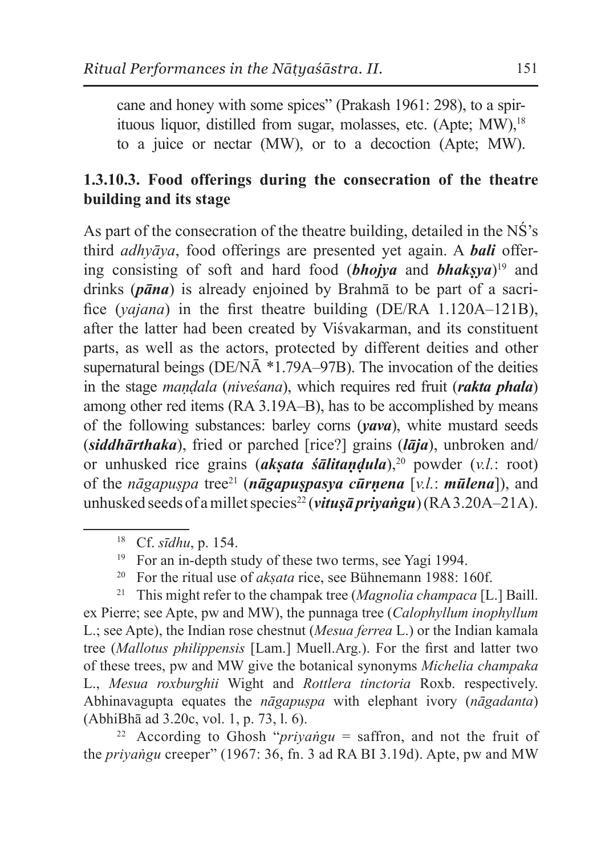cane and honey with some spices" (Prakash 1961: 298), to a spirituous liquor, distilled from sugar, molasses, etc. (Apte: MW),<sup>18</sup> to a juice or nectar (MW), or to a decoction (Apte; MW).

### **1.3.10.3. Food offerings during the consecration of the theatre building and its stage**

As part of the consecration of the theatre building, detailed in the NŚ's third *adhyāya*, food offerings are presented yet again. A *bali* offering consisting of soft and hard food  $(bho\)$  and  $bhakswa$ <sup>19</sup> and drinks (*pāna*) is already enjoined by Brahmā to be part of a sacrifice (*yajana*) in the first theatre building (DE/RA 1.120A–121B), after the latter had been created by Viśvakarman, and its constituent parts, as well as the actors, protected by different deities and other supernatural beings (DE/NĀ \*1.79A–97B). The invocation of the deities in the stage *maṇḍala* (*niveśana*), which requires red fruit (*rakta phala*) among other red items (RA 3.19A–B), has to be accomplished by means of the following substances: barley corns (*yava*), white mustard seeds (*siddhārthaka*), fried or parched [rice?] grains (*lāja*), unbroken and/ or unhusked rice grains (*akṣata śālitaṇḍula*),<sup>20</sup> powder (*v.l.*: root) of the *nāgapuṣpa* tree21 (*nāgapuṣpasya cūrṇena* [*v.l.*: *mūlena*]), and unhusked seeds of a millet species<sup>22</sup> (*vitusā priyangu*) (RA 3.20A–21A).

<sup>20</sup> For the ritual use of *aksata* rice, see Bühnemann 1988: 160f.

<sup>21</sup> This might refer to the champak tree (*Magnolia champaca* [L.] Baill. ex Pierre; see Apte, pw and MW), the punnaga tree (*Calophyllum inophyllum* L.; see Apte), the Indian rose chestnut (*Mesua ferrea* L.) or the Indian kamala tree (*Mallotus philippensis* [Lam.] Muell.Arg.). For the first and latter two of these trees, pw and MW give the botanical synonyms *Michelia champaka* L., *Mesua roxburghii* Wight and *Rottlera tinctoria* Roxb. respectively. Abhinavagupta equates the *nāgapuṣpa* with elephant ivory (*nāgadanta*) (AbhiBhā ad 3.20c, vol. 1, p. 73, l. 6).

<sup>22</sup> According to Ghosh "*priyangu* = saffron, and not the fruit of the *priyaṅgu* creeper" (1967: 36, fn. 3 ad RA BI 3.19d). Apte, pw and MW

<sup>18</sup> Cf. *sīdhu*, p. 154.

<sup>&</sup>lt;sup>19</sup> For an in-depth study of these two terms, see Yagi 1994.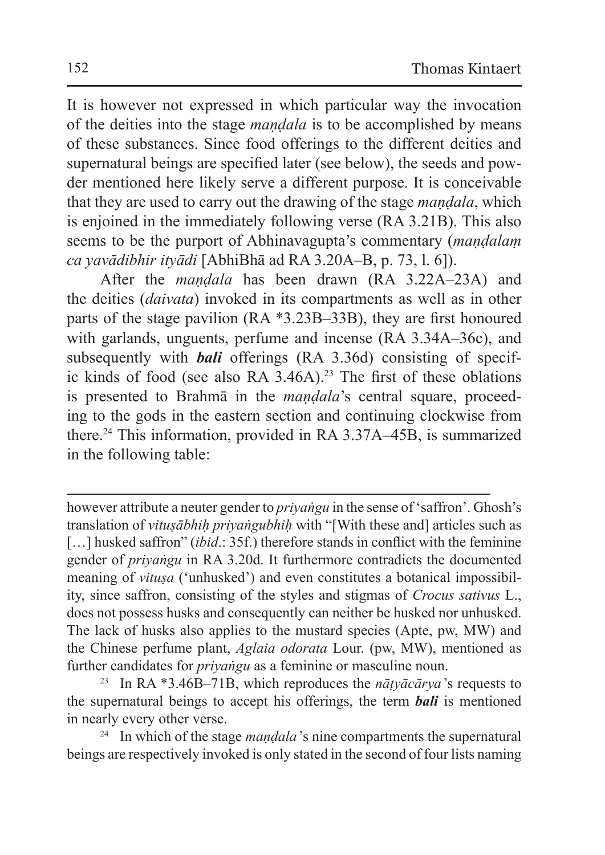It is however not expressed in which particular way the invocation of the deities into the stage *maṇḍala* is to be accomplished by means of these substances. Since food offerings to the different deities and supernatural beings are specified later (see below), the seeds and powder mentioned here likely serve a different purpose. It is conceivable that they are used to carry out the drawing of the stage *maṇḍala*, which is enjoined in the immediately following verse (RA 3.21B). This also seems to be the purport of Abhinavagupta's commentary *(mandalam*) *ca yavādibhir ityādi* [AbhiBhā ad RA 3.20A–B, p. 73, l. 6]).

After the *maṇḍala* has been drawn (RA 3.22A–23A) and the deities (*daivata*) invoked in its compartments as well as in other parts of the stage pavilion (RA \*3.23B–33B), they are first honoured with garlands, unguents, perfume and incense (RA 3.34A–36c), and subsequently with *bali* offerings (RA 3.36d) consisting of specific kinds of food (see also RA  $3.46$ A).<sup>23</sup> The first of these oblations is presented to Brahmā in the *maṇḍala*'s central square, proceeding to the gods in the eastern section and continuing clockwise from there.24 This information, provided in RA 3.37A–45B, is summarized in the following table:

<sup>24</sup> In which of the stage *mandala*'s nine compartments the supernatural beings are respectively invoked is only stated in the second of four lists naming

however attribute a neuter gender to *priyaṅgu* in the sense of 'saffron'. Ghosh's translation of *vitusābhih priyaṅgubhih* with "[With these and] articles such as [...] husked saffron" *(ibid.:* 35f.) therefore stands in conflict with the feminine gender of *priyaṅgu* in RA 3.20d. It furthermore contradicts the documented meaning of *vitusa* ('unhusked') and even constitutes a botanical impossibility, since saffron, consisting of the styles and stigmas of *Crocus sativus* L., does not possess husks and consequently can neither be husked nor unhusked. The lack of husks also applies to the mustard species (Apte, pw, MW) and the Chinese perfume plant, *Aglaia odorata* Lour. (pw, MW), mentioned as further candidates for *priyaṅgu* as a feminine or masculine noun.

<sup>&</sup>lt;sup>23</sup> In RA  $*3.46B-71B$ , which reproduces the *nātyācārya*'s requests to the supernatural beings to accept his offerings, the term *bali* is mentioned in nearly every other verse.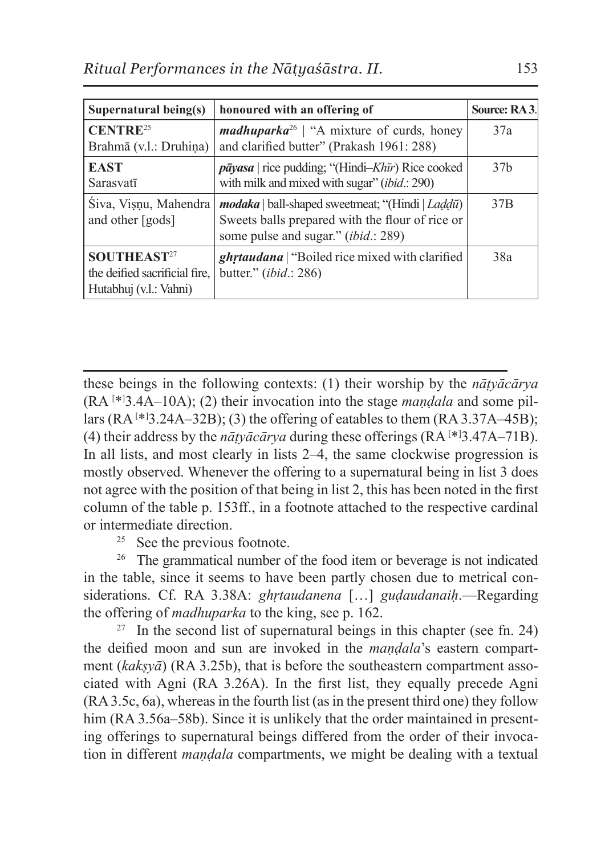| Supernatural being $(s)$                                                           | honoured with an offering of                                                                                                                                | Source: RA3.    |
|------------------------------------------------------------------------------------|-------------------------------------------------------------------------------------------------------------------------------------------------------------|-----------------|
| CENTRE <sup>25</sup><br>Brahmā (v.l.: Druhiņa)                                     | <i>madhuparka</i> <sup>26</sup>   "A mixture of curds, honey<br>and clarified butter" (Prakash 1961: 288)                                                   | 37a             |
| <b>EAST</b><br>Sarasvatī                                                           | $p\bar{a}y$ asa   rice pudding; "(Hindi-Khīr) Rice cooked<br>with milk and mixed with sugar" ( <i>ibid.</i> : 290)                                          | 37 <sub>b</sub> |
| Siva, Vișnu, Mahendra<br>and other [gods]                                          | <i>modaka</i>   ball-shaped sweetmeat; "(Hindi   Laddū)  <br>Sweets balls prepared with the flour of rice or<br>some pulse and sugar." <i>(ibid.</i> : 289) | 37 <sub>B</sub> |
| SOUTHEAST <sup>27</sup><br>the deified sacrificial fire.<br>Hutabhuj (v.l.: Vahni) | <i>ghrtaudana</i>   "Boiled rice mixed with clarified"<br>butter." (ibid.: 286)                                                                             | 38a             |

these beings in the following contexts: (1) their worship by the *nāṭyācārya* (RA [ \*] 3.4A–10A); (2) their invocation into the stage *maṇḍala* and some pillars  $(RA^{[*]}3.24A-32B)$ ; (3) the offering of eatables to them  $(RA 3.37A-45B)$ ; (4) their address by the  $n\bar{a}ty\bar{a}c\bar{a}rya$  during these offerings ( $RA$ <sup>[\*1</sup>3.47A–71B). In all lists, and most clearly in lists 2–4, the same clockwise progression is mostly observed. Whenever the offering to a supernatural being in list 3 does not agree with the position of that being in list 2, this has been noted in the first column of the table p. 153ff., in a footnote attached to the respective cardinal or intermediate direction.

<sup>25</sup> See the previous footnote.

<sup>26</sup> The grammatical number of the food item or beverage is not indicated in the table, since it seems to have been partly chosen due to metrical considerations. Cf. RA 3.38A: *ghṛtaudanena* […] *guḍaudanaiḥ*.—Regarding the offering of *madhuparka* to the king, see p. 162.

<sup>27</sup> In the second list of supernatural beings in this chapter (see fn. 24) the deified moon and sun are invoked in the *maṇḍala*'s eastern compartment (*kakṣyā*) (RA 3.25b), that is before the southeastern compartment associated with Agni (RA 3.26A). In the first list, they equally precede Agni (RA 3.5c, 6a), whereas in the fourth list (as in the present third one) they follow him (RA 3.56a–58b). Since it is unlikely that the order maintained in presenting offerings to supernatural beings differed from the order of their invocation in different *maṇḍala* compartments, we might be dealing with a textual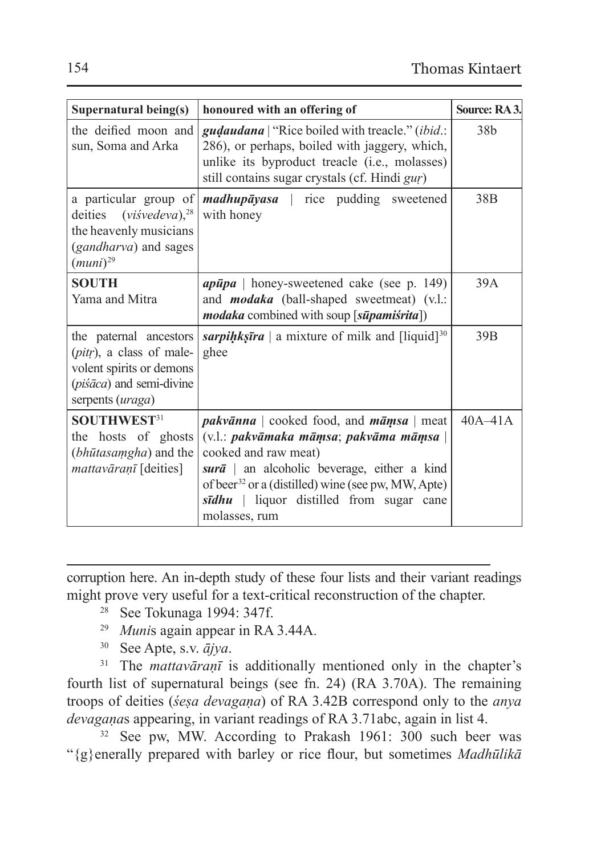| Supernatural being(s)                                                                                                                     | honoured with an offering of                                                                                                                                                                                                                                                                                    | Source: RA3.    |
|-------------------------------------------------------------------------------------------------------------------------------------------|-----------------------------------------------------------------------------------------------------------------------------------------------------------------------------------------------------------------------------------------------------------------------------------------------------------------|-----------------|
| the deified moon and<br>sun, Soma and Arka                                                                                                | <i>gudaudana</i>   "Rice boiled with treacle." <i>(ibid.</i> :<br>286), or perhaps, boiled with jaggery, which,<br>unlike its byproduct treacle (i.e., molasses)<br>still contains sugar crystals (cf. Hindi gur)                                                                                               | 38 <sub>b</sub> |
| a particular group of<br>deities $(visvedeva)$ <sup>28</sup><br>the heavenly musicians<br>( <i>gandharva</i> ) and sages<br>$(muni)^{29}$ | <i>madhupāyasa</i>   rice pudding sweetened<br>with honey                                                                                                                                                                                                                                                       | 38 <sub>B</sub> |
| <b>SOUTH</b><br>Yama and Mitra                                                                                                            | $ap\bar{u}pa$   honey-sweetened cake (see p. 149)<br>and <b>modaka</b> (ball-shaped sweetmeat) (v.l.:<br><i>modaka</i> combined with soup [s <b><i>upamisrita</i></b> ])                                                                                                                                        | 39A             |
| the paternal ancestors<br>( <i>pitr</i> ), a class of male-<br>volent spirits or demons<br>(piśāca) and semi-divine<br>serpents (uraga)   | sarpihkstra   a mixture of milk and $\lceil$ liquid $\rceil^{30}$<br>ghee                                                                                                                                                                                                                                       | 39B             |
| SOUTHWEST <sup>31</sup><br>the hosts of ghosts<br>( <i>bhūtasamgha</i> ) and the<br><i>mattavāranī</i> [deities]                          | <i>pakvānna</i>   cooked food, and $m\bar{a}msa$   meat<br>(v.l.: pakvāmaka māmsa; pakvāma māmsa  <br>cooked and raw meat)<br>sur $\bar{a}$ an alcoholic beverage, either a kind<br>of beer <sup>32</sup> or a (distilled) wine (see pw, MW, Apte)<br>sīdhu   liquor distilled from sugar cane<br>molasses, rum | $40A-41A$       |

corruption here. An in-depth study of these four lists and their variant readings might prove very useful for a text-critical reconstruction of the chapter.

- <sup>28</sup> See Tokunaga 1994: 347f.
- <sup>29</sup> *Muni*s again appear in RA 3.44A.
- <sup>30</sup> See Apte, s.v. *ājya*.

<sup>31</sup> The *mattavāranī* is additionally mentioned only in the chapter's fourth list of supernatural beings (see fn. 24) (RA 3.70A). The remaining troops of deities (*śeṣa devagaṇa*) of RA 3.42B correspond only to the *anya devagaṇa*s appearing, in variant readings of RA 3.71abc, again in list 4.

<sup>32</sup> See pw, MW. According to Prakash 1961: 300 such beer was "{g}enerally prepared with barley or rice flour, but sometimes *Madhūlikā*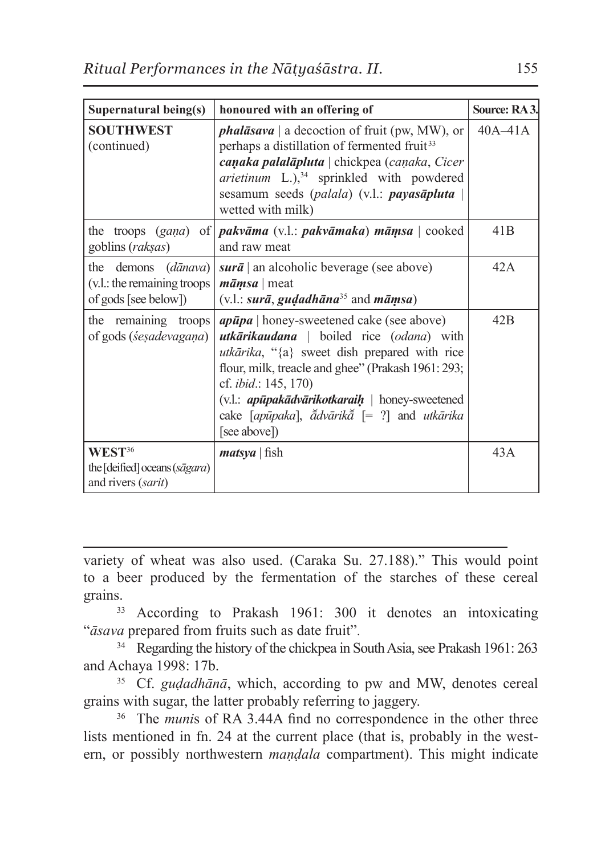| Supernatural being(s)                                                               | honoured with an offering of                                                                                                                                                                                                                                                                                                                                              | Source: RA3. |
|-------------------------------------------------------------------------------------|---------------------------------------------------------------------------------------------------------------------------------------------------------------------------------------------------------------------------------------------------------------------------------------------------------------------------------------------------------------------------|--------------|
| <b>SOUTHWEST</b><br>(continued)                                                     | <i>phalāsava</i>   a decoction of fruit (pw, MW), or<br>perhaps a distillation of fermented fruit <sup>33</sup><br>canaka palalāpluta   chickpea (canaka, Cicer<br>arietinum L.), <sup>34</sup> sprinkled with powdered<br>sesamum seeds (palala) (v.l.: <b>payasāpluta</b><br>wetted with milk)                                                                          | $40A-41A$    |
| goblins (raksas)                                                                    | the troops $(gana)$ of <b><i>pakvāma</i></b> (v.l.: <i>pakvāmaka</i> ) <i>māmsa</i>   cooked<br>and raw meat                                                                                                                                                                                                                                                              | 41B          |
| the demons ( <i>dānava</i> )<br>(v.l.: the remaining troops<br>of gods [see below]) | $sur\bar{a}$ an alcoholic beverage (see above)<br>$m\bar{a}msa$ meat<br>$(v.l.: surā, gudadhāna35 and māmsa)$                                                                                                                                                                                                                                                             | 42A          |
| the remaining troops<br>of gods ( <i>sesadevagana</i> )                             | $ap\bar{u}pa$   honey-sweetened cake (see above)<br><b>utkārikaudana</b>   boiled rice (odana) with<br><i>utkārika</i> , "{a} sweet dish prepared with rice<br>flour, milk, treacle and ghee" (Prakash 1961: 293;<br>cf. <i>ibid.</i> : 145, 170)<br>(v.l.: <i>apūpakādvārikotkaraih</i>   honey-sweetened<br>cake [apūpaka], ădvārikă [= ?] and utkārika<br>[see above]) | 42B          |
| WEST <sup>36</sup><br>the [deified] oceans (sāgara)<br>and rivers (sarit)           | <i>matsya</i>   fish                                                                                                                                                                                                                                                                                                                                                      | 43A          |

variety of wheat was also used. (Caraka Su. 27.188)." This would point to a beer produced by the fermentation of the starches of these cereal

grains.<br><sup>33</sup> According to Prakash 1961: 300 it denotes an intoxicating "*āsava* prepared from fruits such as date fruit".

<sup>34</sup> Regarding the history of the chickpea in South Asia, see Prakash 1961: 263 and Achaya 1998: 17b.

<sup>35</sup> Cf. *guḍadhānā*, which, according to pw and MW, denotes cereal grains with sugar, the latter probably referring to jaggery.

<sup>36</sup> The *muni*s of RA 3.44A find no correspondence in the other three lists mentioned in fn. 24 at the current place (that is, probably in the western, or possibly northwestern *maṇḍala* compartment). This might indicate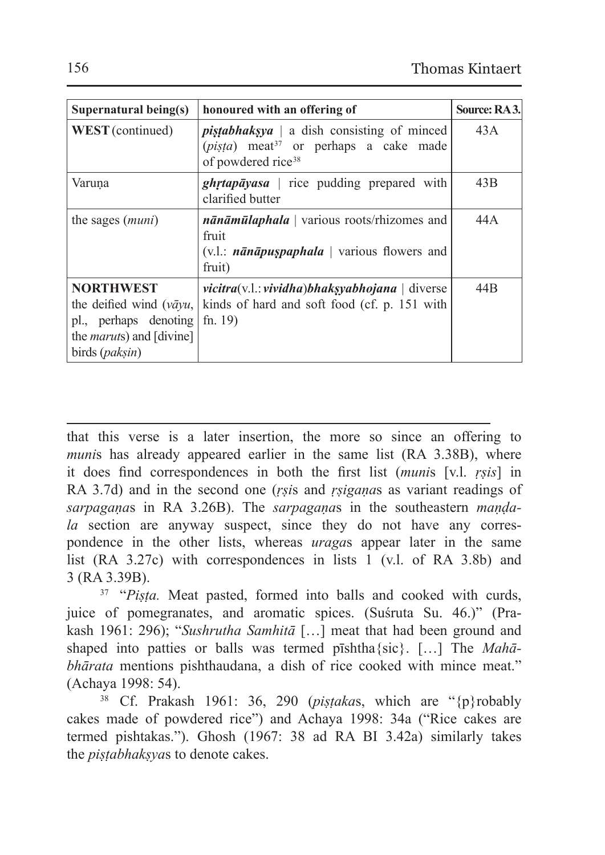| Supernatural being(s)                                                                                                               | honoured with an offering of                                                                                                                        | Source: RA3.    |
|-------------------------------------------------------------------------------------------------------------------------------------|-----------------------------------------------------------------------------------------------------------------------------------------------------|-----------------|
| WEST (continued)                                                                                                                    | <i>pistabhaksya</i>   a dish consisting of minced<br>$(pi$ <i>sta</i> ) meat <sup>37</sup> or perhaps a cake made<br>of powdered rice <sup>38</sup> | 43A             |
| Varuna                                                                                                                              | $ghrtap\bar{a}yasa$   rice pudding prepared with<br>clarified butter                                                                                | 43B             |
| the sages <i>(muni)</i>                                                                                                             | $n\bar{a}n\bar{a}m\bar{u}laphala$ various roots/rhizomes and<br>fruit<br>$(v.l.:$ <i>nānāpuspaphala</i>   various flowers and<br>fruit)             | 44 A            |
| <b>NORTHWEST</b><br>the deified wind (vāyu,<br>pl., perhaps denoting<br>the <i>maruts</i> ) and [divine]<br>birds ( <i>paksin</i> ) | $vicitra(v.1): vividha)bhaksyabhojana   diverse$<br>kinds of hard and soft food (cf. p. 151 with<br>fn. $19$ )                                      | 44 <sub>B</sub> |

that this verse is a later insertion, the more so since an offering to *munis* has already appeared earlier in the same list (RA 3.38B), where it does find correspondences in both the first list (*muni*s [v.l. *ṛṣis*] in RA 3.7d) and in the second one (*ṛṣi*s and *ṛṣigaṇa*s as variant readings of *sarpagaṇa*s in RA 3.26B). The *sarpagaṇa*s in the southeastern *maṇḍala* section are anyway suspect, since they do not have any correspondence in the other lists, whereas *uraga*s appear later in the same list (RA 3.27c) with correspondences in lists 1 (v.l. of RA 3.8b) and 3 (RA 3.39B).

<sup>37</sup> "*Pista*. Meat pasted, formed into balls and cooked with curds, juice of pomegranates, and aromatic spices. (Suśruta Su. 46.)" (Prakash 1961: 296); "*Sushrutha Samhitā* […] meat that had been ground and shaped into patties or balls was termed pīshtha{sic}. […] The *Mahābhārata* mentions pishthaudana, a dish of rice cooked with mince meat." (Achaya 1998: 54).

<sup>38</sup> Cf. Prakash 1961: 36, 290 (*piṣṭaka*s, which are "{p}robably cakes made of powdered rice") and Achaya 1998: 34a ("Rice cakes are termed pishtakas."). Ghosh (1967: 38 ad RA BI 3.42a) similarly takes the *piṣṭabhakṣya*s to denote cakes.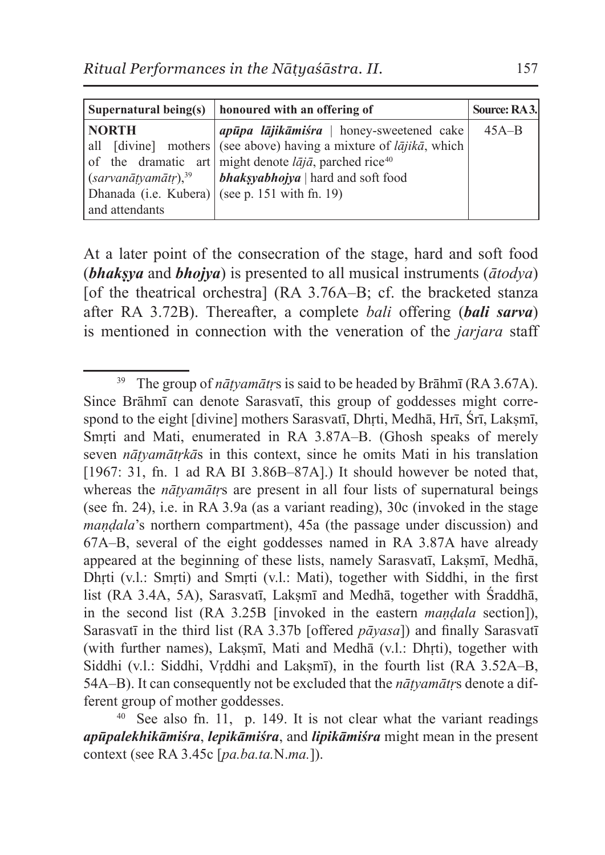| Supernatural being(s)           | honoured with an offering of                                                      | Source: RA3. |
|---------------------------------|-----------------------------------------------------------------------------------|--------------|
| <b>NORTH</b>                    | <i>apūpa lūjikūmiśra</i>   honey-sweetened cake                                   | $45A-B$      |
|                                 | all [divine] mothers (see above) having a mixture of $l\bar{a}jik\bar{a}$ , which |              |
|                                 | of the dramatic art might denote $l\bar{a}j\bar{a}$ , parched rice <sup>40</sup>  |              |
| (sarvanātyanātr), <sup>39</sup> | <i>bhaksyabhojya</i>   hard and soft food                                         |              |
|                                 | Dhanada (i.e. Kubera) (see p. 151 with fn. 19)                                    |              |
| and attendants                  |                                                                                   |              |

At a later point of the consecration of the stage, hard and soft food (*bhakṣya* and *bhojya*) is presented to all musical instruments (*ātodya*) [of the theatrical orchestra]  $(RA \ 3.76A-B; cf.$  the bracketed stanza after RA 3.72B). Thereafter, a complete *bali* offering (*bali sarva*) is mentioned in connection with the veneration of the *jarjara* staff

<sup>&</sup>lt;sup>39</sup> The group of *nātyamātrs* is said to be headed by Brāhmī (RA 3.67A). Since Brāhmī can denote Sarasvatī, this group of goddesses might correspond to the eight [divine] mothers Sarasvatī, Dhrti, Medhā, Hrī, Śrī, Lakṣmī, Smrti and Mati, enumerated in RA 3.87A–B. (Ghosh speaks of merely seven *nāṭyamātṛkā*s in this context, since he omits Mati in his translation [1967: 31, fn. 1 ad RA BI 3.86B-87A].) It should however be noted that, whereas the *nāṭyamātṛ*s are present in all four lists of supernatural beings (see fn. 24), i.e. in RA 3.9a (as a variant reading), 30c (invoked in the stage *maṇḍala*'s northern compartment), 45a (the passage under discussion) and 67A–B, several of the eight goddesses named in RA 3.87A have already appeared at the beginning of these lists, namely Sarasvatī, Lakṣmī, Medhā, Dhṛti (v.l.: Smṛti) and Smṛti (v.l.: Mati), together with Siddhi, in the first list (RA 3.4A, 5A), Sarasvatī, Lakṣmī and Medhā, together with Śraddhā, in the second list (RA 3.25B [invoked in the eastern *maṇḍala* section]), Sarasvatī in the third list (RA 3.37b [offered *pāyasa*]) and finally Sarasvatī (with further names), Lakṣmī, Mati and Medhā (v.l.: Dhṛti), together with Siddhi (v.l.: Siddhi, Vrddhi and Laksmī), in the fourth list (RA 3.52A–B, 54A–B). It can consequently not be excluded that the *nāṭyamātṛ*s denote a different group of mother goddesses.

 $40$  See also fn. 11, p. 149. It is not clear what the variant readings *apūpalekhikāmiśra*, *lepikāmiśra*, and *lipikāmiśra* might mean in the present context (see RA 3.45c [*pa.ba.ta.*N.*ma.*]).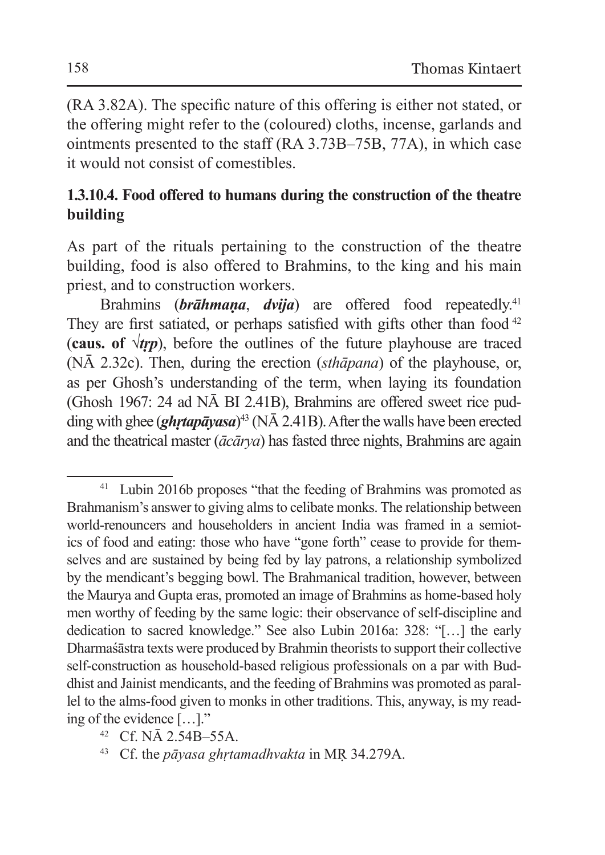(RA 3.82A). The specific nature of this offering is either not stated, or the offering might refer to the (coloured) cloths, incense, garlands and ointments presented to the staff (RA 3.73B–75B, 77A), in which case it would not consist of comestibles.

### **1.3.10.4. Food offered to humans during the construction of the theatre building**

As part of the rituals pertaining to the construction of the theatre building, food is also offered to Brahmins, to the king and his main priest, and to construction workers.

Brahmins (*brāhmaṇa*, *dvija*) are offered food repeatedly.<sup>41</sup> They are first satiated, or perhaps satisfied with gifts other than food  $42$ (**caus.** of  $\sqrt{trp}$ ), before the outlines of the future playhouse are traced (NĀ 2.32c). Then, during the erection (*sthāpana*) of the playhouse, or, as per Ghosh's understanding of the term, when laying its foundation (Ghosh 1967: 24 ad NĀ BI 2.41B), Brahmins are offered sweet rice pudding with ghee (*ghṛtapāyasa*) <sup>43</sup> (NĀ 2.41B). After the walls have been erected and the theatrical master (*ācārya*) has fasted three nights, Brahmins are again

<sup>&</sup>lt;sup>41</sup> Lubin 2016b proposes "that the feeding of Brahmins was promoted as Brahmanism's answer to giving alms to celibate monks. The relationship between world-renouncers and householders in ancient India was framed in a semiotics of food and eating: those who have "gone forth" cease to provide for themselves and are sustained by being fed by lay patrons, a relationship symbolized by the mendicant's begging bowl. The Brahmanical tradition, however, between the Maurya and Gupta eras, promoted an image of Brahmins as home-based holy men worthy of feeding by the same logic: their observance of self-discipline and dedication to sacred knowledge." See also Lubin 2016a: 328: "[…] the early Dharmaśāstra texts were produced byBrahmin theorists to support their collective self-construction as household-based religious professionals on a par with Buddhist and Jainist mendicants, and the feeding of Brahmins was promoted as parallel to the alms-food given to monks in other traditions. This, anyway, is my reading of the evidence […]."

<sup>42</sup> Cf. NĀ 2.54B–55A.

<sup>43</sup> Cf. the *pāyasa ghṛtamadhvakta* in MṚ 34.279A.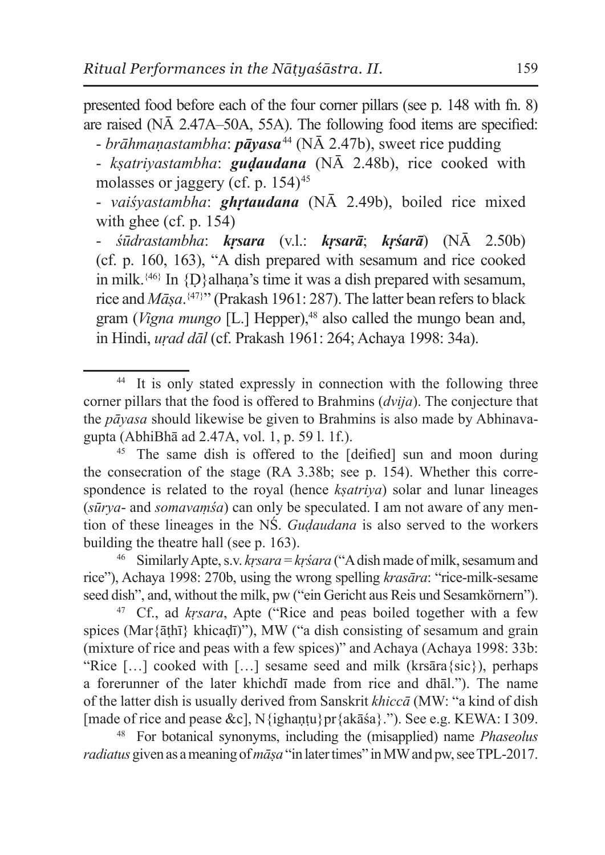presented food before each of the four corner pillars (see p. 148 with fn. 8) are raised (NĀ 2.47A–50A, 55A). The following food items are specified:

- *brāhmaṇastambha*: *pāyasa*<sup>44</sup> (NĀ 2.47b), sweet rice pudding

- *kṣatriyastambha*: *guḍaudana* (NĀ 2.48b), rice cooked with molasses or jaggery (cf. p. 154)<sup>45</sup>

- *vaiśyastambha*: *ghṛtaudana* (NĀ 2.49b), boiled rice mixed with ghee (cf. p. 154)

- *śūdrastambha*: *kṛsara* (v.l.: *kṛsarā*; *kṛśarā*) (NĀ 2.50b) (cf. p. 160, 163), "A dish prepared with sesamum and rice cooked in milk.<sup>{46}</sup> In  $\{D\}$ alhana's time it was a dish prepared with sesamum, rice and *Māṣa*. {47}" (Prakash 1961: 287). The latter bean refers to black gram (*Vigna mungo* [L.] Hepper),<sup>48</sup> also called the mungo bean and. in Hindi, *uṛad dāl* (cf. Prakash 1961: 264; Achaya 1998: 34a).

<sup>47</sup> Cf., ad *kṛsara*, Apte ("Rice and peas boiled together with a few spices (Mar{āṭhī} khicaḍī)"), MW ("a dish consisting of sesamum and grain (mixture of rice and peas with a few spices)" and Achaya (Achaya 1998: 33b: "Rice  $[\dots]$  cooked with  $[\dots]$  sesame seed and milk (krsāra $\{\text{sic}\}\)$ , perhaps a forerunner of the later khichdī made from rice and dhāl."). The name of the latter dish is usually derived from Sanskrit *khiccā* (MW: "a kind of dish [made of rice and pease &c], N{ighantu}pr{akāśa}."). See e.g. KEWA: I 309.

<sup>48</sup> For botanical synonyms, including the (misapplied) name *Phaseolus radiatus* given as ameaning of*māṣa* "in later times" inMW and pw, see TPL-2017.

<sup>44</sup> It is only stated expressly in connection with the following three corner pillars that the food is offered to Brahmins (*dvija*). The conjecture that the *pāyasa* should likewise be given to Brahmins is also made by Abhinavagupta (AbhiBhā ad 2.47A, vol. 1, p. 59 l. 1f.).

<sup>&</sup>lt;sup>45</sup> The same dish is offered to the [deified] sun and moon during the consecration of the stage (RA 3.38b; see p. 154). Whether this correspondence is related to the royal (hence *kṣatriya*) solar and lunar lineages (*sūrya*- and *somavaṃśa*) can only be speculated. I am not aware of any mention of these lineages in the NŚ. *Guḍaudana* is also served to the workers building the theatre hall (see p. 163).

<sup>46</sup> Similarly Apte, s.v. *kṛsara* = *kṛśara* ("Adish made of milk, sesamum and rice"), Achaya 1998: 270b, using the wrong spelling *krasāra*: "rice-milk-sesame seed dish", and, without the milk, pw ("ein Gericht aus Reis und Sesamkörnern").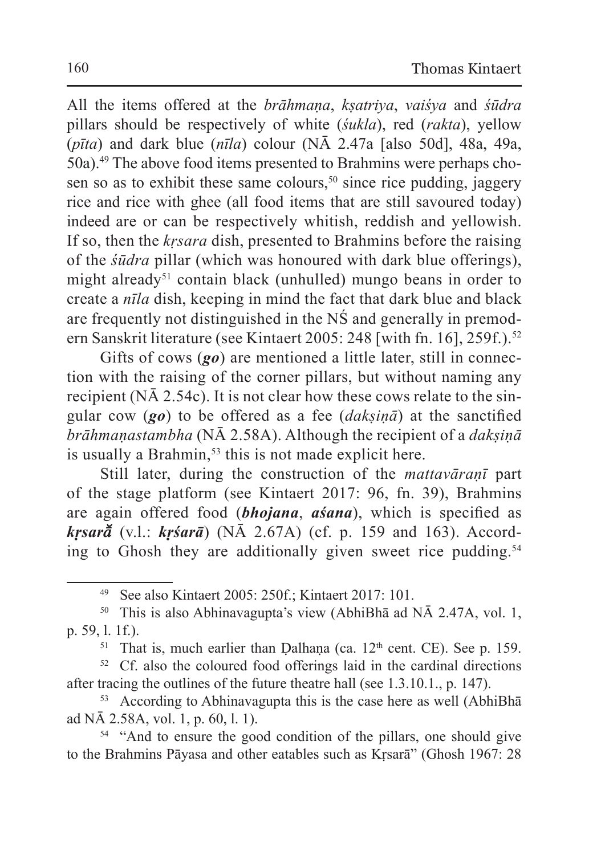All the items offered at the *brāhmaṇa*, *kṣatriya*, *vaiśya* and *śūdra* pillars should be respectively of white (*śukla*), red (*rakta*), yellow (*pīta*) and dark blue (*nīla*) colour (NĀ 2.47a [also 50d], 48a, 49a, 50a).49 The above food items presented to Brahmins were perhaps chosen so as to exhibit these same colours,<sup>50</sup> since rice pudding, jaggery rice and rice with ghee (all food items that are still savoured today) indeed are or can be respectively whitish, reddish and yellowish. If so, then the *kṛsara* dish, presented to Brahmins before the raising of the *śūdra* pillar (which was honoured with dark blue offerings), might already<sup>51</sup> contain black (unhulled) mungo beans in order to create a *nīla* dish, keeping in mind the fact that dark blue and black are frequently not distinguished in the NŚ and generally in premodern Sanskrit literature (see Kintaert 2005: 248 [with fn. 16], 259f.).<sup>52</sup>

Gifts of cows (*go*) are mentioned a little later, still in connection with the raising of the corner pillars, but without naming any recipient (NĀ 2.54c). It is not clear how these cows relate to the singular cow (*go*) to be offered as a fee (*dakṣiṇā*) at the sanctified *brāhmaṇastambha* (NĀ 2.58A). Although the recipient of a *dakṣiṇā* is usually a Brahmin,<sup>53</sup> this is not made explicit here.

Still later, during the construction of the *mattavāraṇī* part of the stage platform (see Kintaert 2017: 96, fn. 39), Brahmins are again offered food (*bhojana*, *aśana*), which is specified as *krsar* $\check{a}$  (v.l.: *krśarā*) (N $\overline{A}$  2.67A) (cf. p. 159 and 163). According to Ghosh they are additionally given sweet rice pudding.<sup>54</sup>

<sup>53</sup> According to Abhinavagupta this is the case here as well (AbhiBhā ad NĀ 2.58A, vol. 1, p. 60, l. 1).

<sup>54</sup> "And to ensure the good condition of the pillars, one should give to the Brahmins Pāyasa and other eatables such as Kṛsarā" (Ghosh 1967: 28

<sup>49</sup> See also Kintaert 2005: 250f.; Kintaert 2017: 101.

<sup>50</sup> This is also Abhinavagupta's view (AbhiBhā ad NĀ 2.47A, vol. 1, p. 59, l. 1f.).

<sup>&</sup>lt;sup>51</sup> That is, much earlier than Dalhana (ca.  $12<sup>th</sup>$  cent. CE). See p. 159.

<sup>&</sup>lt;sup>52</sup> Cf. also the coloured food offerings laid in the cardinal directions after tracing the outlines of the future theatre hall (see 1.3.10.1., p. 147).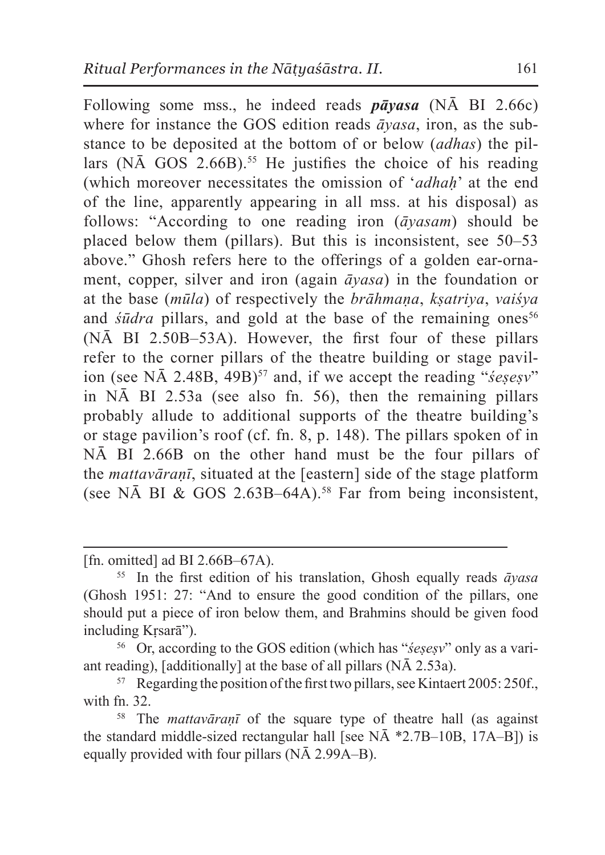Following some mss., he indeed reads *pāyasa* (NĀ BI 2.66c) where for instance the GOS edition reads *āyasa*, iron, as the substance to be deposited at the bottom of or below (*adhas*) the pillars (N $\bar{A}$  GOS 2.66B).<sup>55</sup> He justifies the choice of his reading (which moreover necessitates the omission of '*adhaḥ*' at the end of the line, apparently appearing in all mss. at his disposal) as follows: "According to one reading iron (*āyasam*) should be placed below them (pillars). But this is inconsistent, see 50–53 above." Ghosh refers here to the offerings of a golden ear-ornament, copper, silver and iron (again *āyasa*) in the foundation or at the base (*mūla*) of respectively the *brāhmaṇa*, *kṣatriya*, *vaiśya* and *śūdra* pillars, and gold at the base of the remaining ones<sup>56</sup> (NĀ BI 2.50B–53A). However, the first four of these pillars refer to the corner pillars of the theatre building or stage pavilion (see NA 2.48B, 49B)<sup>57</sup> and, if we accept the reading "*śesesy*" in NĀ BI 2.53a (see also fn. 56), then the remaining pillars probably allude to additional supports of the theatre building's or stage pavilion's roof (cf. fn. 8, p. 148). The pillars spoken of in NĀ BI 2.66B on the other hand must be the four pillars of the *mattavāraṇī*, situated at the [eastern] side of the stage platform (see NA BI & GOS 2.63B–64A).<sup>58</sup> Far from being inconsistent,

[fn. omitted] ad BI 2.66B–67A).

<sup>56</sup> Or, according to the GOS edition (which has "*śeṣeṣv*" only as a variant reading), [additionally] at the base of all pillars  $(N\bar{A} 2.53a)$ .

<sup>55</sup> In the first edition of his translation, Ghosh equally reads *āyasa* (Ghosh 1951: 27: "And to ensure the good condition of the pillars, one should put a piece of iron below them, and Brahmins should be given food including Kṛsarā").

 $57$  Regarding the position of the first two pillars, see Kintaert 2005: 250f., with fn. 32.

<sup>58</sup> The *mattavāraṇī* of the square type of theatre hall (as against the standard middle-sized rectangular hall [see NĀ \*2.7B–10B, 17A–B]) is equally provided with four pillars (NĀ 2.99A–B).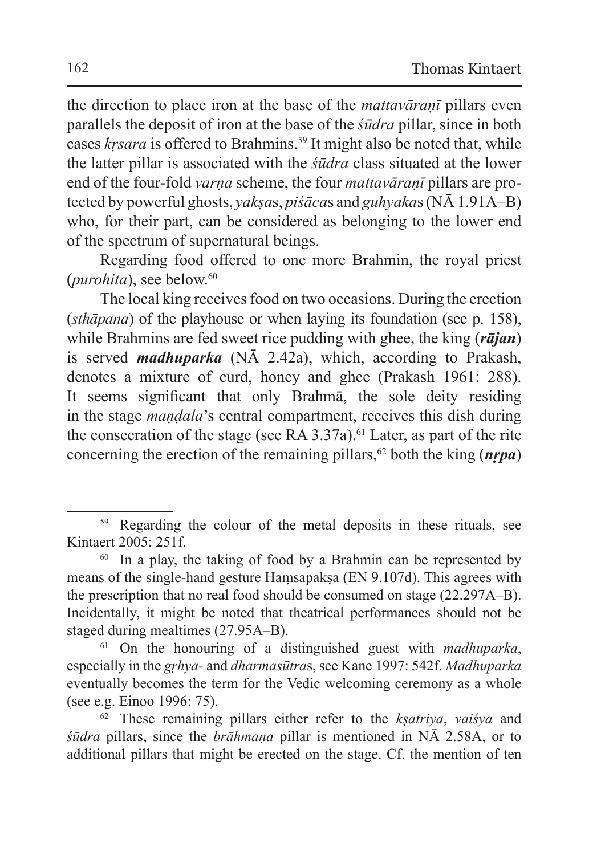the direction to place iron at the base of the *mattavāraṇī* pillars even parallels the deposit of iron at the base of the *śūdra* pillar, since in both cases *krsara* is offered to Brahmins.<sup>59</sup> It might also be noted that, while the latter pillar is associated with the *śūdra* class situated at the lower end of the four-fold *varṇa* scheme, the four *mattavāraṇī* pillars are protected by powerful ghosts, *yakṣa*s, *piśāca*s and *guhyaka*s (NĀ 1.91A–B) who, for their part, can be considered as belonging to the lower end of the spectrum of supernatural beings.

Regarding food offered to one more Brahmin, the royal priest (*purohita*), see below.<sup>60</sup>

The local king receives food on two occasions. During the erection (*sthāpana*) of the playhouse or when laying its foundation (see p. 158), while Brahmins are fed sweet rice pudding with ghee, the king (*rājan*) is served *madhuparka* (NĀ 2.42a), which, according to Prakash, denotes a mixture of curd, honey and ghee (Prakash 1961: 288). It seems significant that only Brahmā, the sole deity residing in the stage *maṇḍala*'s central compartment, receives this dish during the consecration of the stage (see RA  $3.37a$ ).<sup>61</sup> Later, as part of the rite concerning the erection of the remaining pillars,<sup>62</sup> both the king ( $nrpa$ )

<sup>&</sup>lt;sup>59</sup> Regarding the colour of the metal deposits in these rituals, see Kintaert 2005: 251f.

<sup>&</sup>lt;sup>60</sup> In a play, the taking of food by a Brahmin can be represented by means of the single-hand gesture Haṃsapakṣa (EN 9.107d). This agrees with the prescription that no real food should be consumed on stage (22.297A–B). Incidentally, it might be noted that theatrical performances should not be staged during mealtimes (27.95A–B).

<sup>61</sup> On the honouring of a distinguished guest with *madhuparka*, especially in the *gṛhya-* and *dharmasūtra*s, see Kane 1997: 542f. *Madhuparka* eventually becomes the term for the Vedic welcoming ceremony as a whole (see e.g. Einoo 1996: 75).

<sup>62</sup> These remaining pillars either refer to the *kṣatriya*, *vaiśya* and *śūdra* pillars, since the *brāhmaṇa* pillar is mentioned in NĀ 2.58A, or to additional pillars that might be erected on the stage. Cf. the mention of ten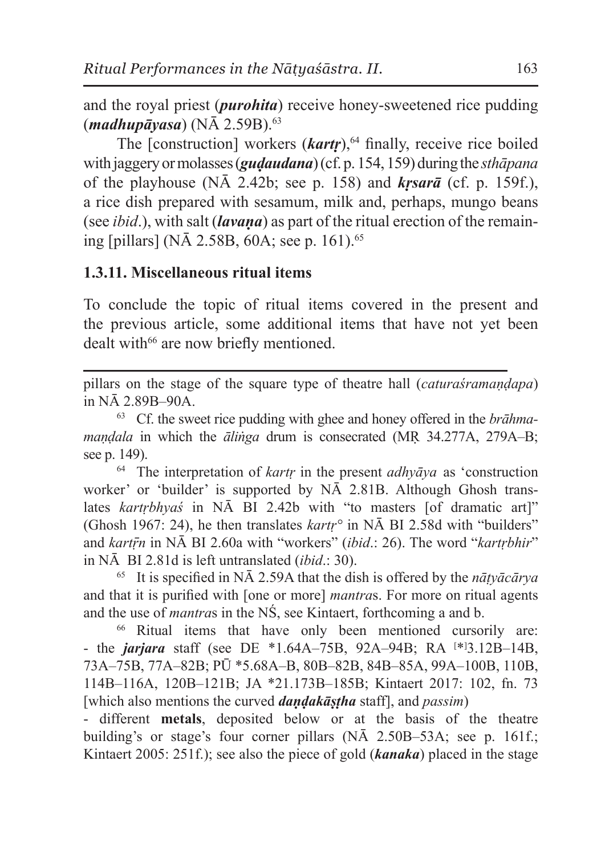and the royal priest (*purohita*) receive honey-sweetened rice pudding (*madhupāyasa*) (NĀ 2.59B).<sup>63</sup>

The [construction] workers (*kartr*),<sup>64</sup> finally, receive rice boiled with jaggery or molasses (*guḍaudana*) (cf. p. 154, 159) during the *sthāpana* of the playhouse  $(N\bar{A}$  2.42b; see p. 158) and *krsarā* (cf. p. 159f.), a rice dish prepared with sesamum, milk and, perhaps, mungo beans (see *ibid*.), with salt (*lavaṇa*) as part of the ritual erection of the remaining [pillars] (N $\bar{A}$  2.58B, 60A; see p. 161).<sup>65</sup>

### **1.3.11. Miscellaneous ritual items**

To conclude the topic of ritual items covered in the present and the previous article, some additional items that have not yet been dealt with<sup>66</sup> are now briefly mentioned.

pillars on the stage of the square type of theatre hall (*caturaśramaṇḍapa*) in NĀ 2.89B–90A.

<sup>63</sup> Cf. the sweet rice pudding with ghee and honey offered in the *brāhmamaṇḍala* in which the *āliṅga* drum is consecrated (MṚ 34.277A, 279A–B; see p. 149).

<sup>64</sup> The interpretation of *kartṛ* in the present *adhyāya* as 'construction worker' or 'builder' is supported by NĀ 2.81B. Although Ghosh translates *kartrbhya's* in NĀ BI 2.42b with "to masters [of dramatic art]" (Ghosh 1967: 24), he then translates *kartṛ°* in NĀ BI 2.58d with "builders" and *kartṝn* in NĀ BI 2.60a with "workers" (*ibid*.: 26). The word "*kartṛbhir*" in NĀ BI 2.81d is left untranslated (*ibid*.: 30).

<sup>65</sup> It is specified in NĀ 2.59A that the dish is offered by the *nāṭyācārya* and that it is purified with [one or more] *mantra*s. For more on ritual agents and the use of *mantra*s in the NŚ, see Kintaert, forthcoming a and b.

<sup>66</sup> Ritual items that have only been mentioned cursorily are: - the *jarjara* staff (see DE \*1.64A–75B, 92A–94B; RA [ \*] 3.12B–14B, 73A–75B, 77A–82B; PŪ \*5.68A–B, 80B–82B, 84B–85A, 99A–100B, 110B, 114B–116A, 120B–121B; JA \*21.173B–185B; Kintaert 2017: 102, fn. 73 [which also mentions the curved *daṇḍakāṣṭha* staff], and *passim*)

- different **metals**, deposited below or at the basis of the theatre building's or stage's four corner pillars (NĀ 2.50B–53A; see p. 161f.; Kintaert 2005: 251f.); see also the piece of gold (*kanaka*) placed in the stage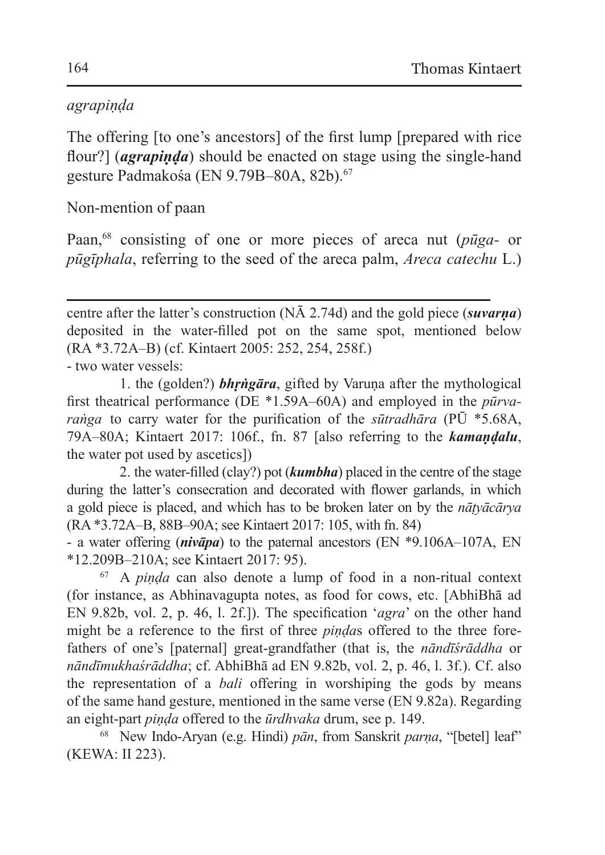#### *agrapiṇḍa*

The offering [to one's ancestors] of the first lump [prepared with rice flour?] (*agrapinda*) should be enacted on stage using the single-hand gesture Padmakośa (EN 9.79B–80A, 82b).<sup>67</sup>

Non-mention of paan

Paan,68 consisting of one or more pieces of areca nut (*pūga-* or *pūgīphala*, referring to the seed of the areca palm, *Areca catechu* L.)

centre after the latter's construction (NĀ 2.74d) and the gold piece (*suvarṇa*) deposited in the water-filled pot on the same spot, mentioned below (RA \*3.72A–B) (cf. Kintaert 2005: 252, 254, 258f.) - two water vessels:

1. the (golden?) *bhṛṅgāra*, gifted by Varuṇa after the mythological first theatrical performance (DE \*1.59A–60A) and employed in the *pūrvaraṅga* to carry water for the purification of the *sūtradhāra* (PŪ \*5.68A, 79A–80A; Kintaert 2017: 106f., fn. 87 [also referring to the *kamaṇḍalu*, the water pot used by ascetics])

2. the water-filled (clay?) pot (*kumbha*) placed in the centre of the stage during the latter's consecration and decorated with flower garlands, in which a gold piece is placed, and which has to be broken later on by the *nāṭyācārya* (RA \*3.72A–B, 88B–90A; see Kintaert 2017: 105, with fn. 84)

- a water offering (*nivāpa*) to the paternal ancestors (EN \*9.106A–107A, EN \*12.209B–210A; see Kintaert 2017: 95).

<sup>67</sup> A *piṇḍa* can also denote a lump of food in a non-ritual context (for instance, as Abhinavagupta notes, as food for cows, etc. [AbhiBhā ad EN 9.82b, vol. 2, p. 46, l. 2f.]). The specification '*agra*' on the other hand might be a reference to the first of three *piṇḍa*s offered to the three forefathers of one's [paternal] great-grandfather (that is, the *nāndīśrāddha* or *nāndīmukhaśrāddha*; cf. AbhiBhā ad EN 9.82b, vol. 2, p. 46, l. 3f.). Cf. also the representation of a *bali* offering in worshiping the gods by means of the same hand gesture, mentioned in the same verse (EN 9.82a). Regarding an eight-part *piṇḍa* offered to the *ūrdhvaka* drum, see p. 149.

<sup>68</sup> New Indo-Aryan (e.g. Hindi) *pān*, from Sanskrit *parṇa*, "[betel] leaf" (KEWA: II 223).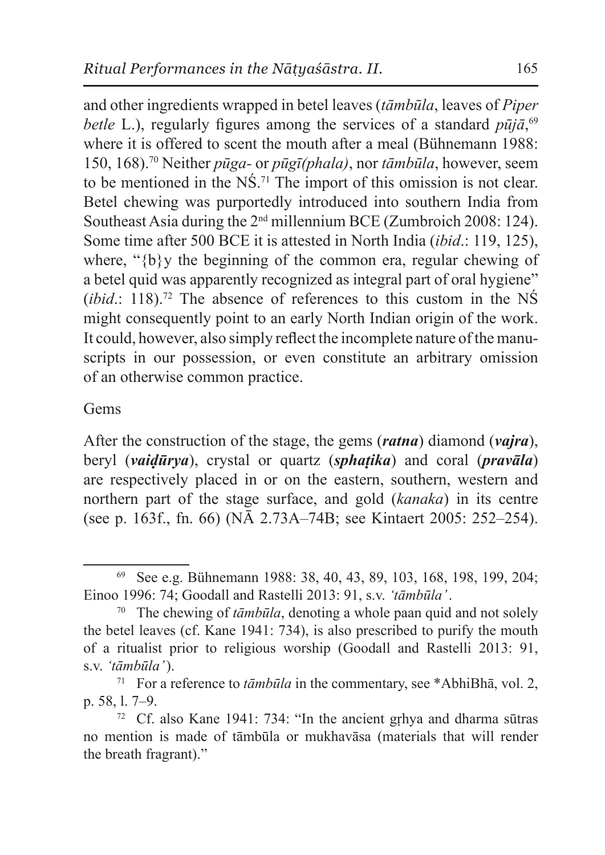and other ingredients wrapped in betel leaves (*tāmbūla*, leaves of *Piper betle* L.), regularly figures among the services of a standard  $p\bar{u}j\bar{a}$ ,<sup>69</sup>, where it is offered to scent the mouth after a meal (Bühnemann 1988: 150, 168).<sup>70</sup> Neither *pūga-* or *pūgī(phala)*, nor *tāmbūla*, however, seem to be mentioned in the NŚ.71 The import of this omission is not clear. Betel chewing was purportedly introduced into southern India from Southeast Asia during the 2<sup>nd</sup> millennium BCE (Zumbroich 2008: 124). Some time after 500 BCE it is attested in North India (*ibid*.: 119, 125), where, " ${b}$ y the beginning of the common era, regular chewing of a betel quid was apparently recognized as integral part of oral hygiene" (*ibid*.: 118).<sup>72</sup> The absence of references to this custom in the NS might consequently point to an early North Indian origin of the work. It could, however, also simply reflect the incomplete nature of the manuscripts in our possession, or even constitute an arbitrary omission of an otherwise common practice.

#### Gems

After the construction of the stage, the gems (*ratna*) diamond (*vajra*), beryl (*vaiḍūrya*), crystal or quartz (*sphaṭika*) and coral (*pravāla*) are respectively placed in or on the eastern, southern, western and northern part of the stage surface, and gold (*kanaka*) in its centre (see p. 163f., fn. 66) (NĀ 2.73A–74B; see Kintaert 2005: 252–254).

<sup>69</sup> See e.g. Bühnemann 1988: 38, 40, 43, 89, 103, 168, 198, 199, 204; Einoo 1996: 74; Goodall and Rastelli 2013: 91, s.v. *'tāmbūla'*.

<sup>70</sup> The chewing of *tāmbūla*, denoting a whole paan quid and not solely the betel leaves (cf. Kane 1941: 734), is also prescribed to purify the mouth of a ritualist prior to religious worship (Goodall and Rastelli 2013: 91, s.v. *'tāmbūla'*).

<sup>&</sup>lt;sup>71</sup> For a reference to  $t\bar{a}mb\bar{u}l$  in the commentary, see \*AbhiBh $\bar{a}$ , vol. 2, p. 58, l. 7–9.

<sup>72</sup> Cf. also Kane 1941: 734: "In the ancient gṛhya and dharma sūtras no mention is made of tāmbūla or mukhavāsa (materials that will render the breath fragrant)."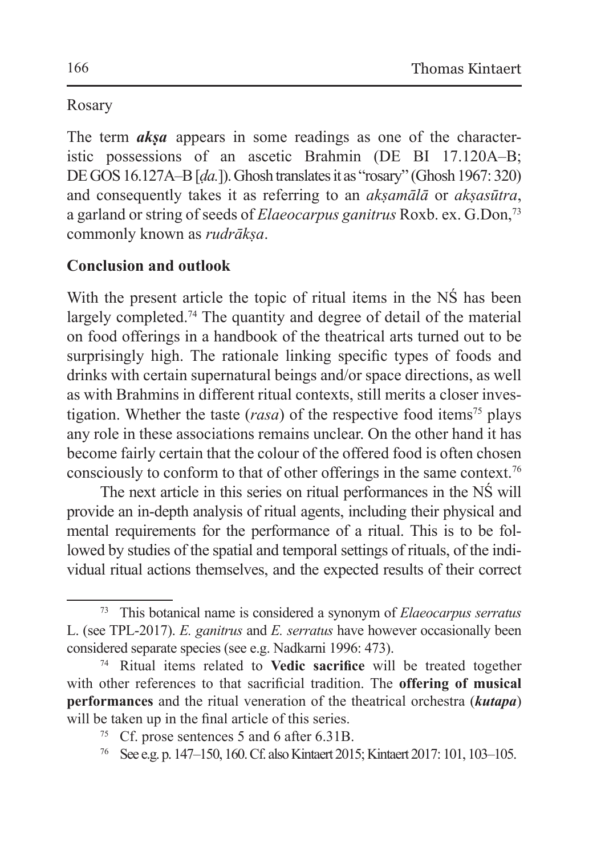### Rosary

The term *akṣa* appears in some readings as one of the characteristic possessions of an ascetic Brahmin (DE BI 17.120A–B; DE GOS 16.127A–B [*ḍa.*]). Ghosh translates it as "rosary" (Ghosh 1967: 320) and consequently takes it as referring to an *akṣamālā* or *akṣasūtra*, a garland or string of seeds of *Elaeocarpus ganitrus* Roxb. ex. G.Don,73 commonly known as *rudrākṣa*.

# **Conclusion and outlook**

With the present article the topic of ritual items in the NŚ has been largely completed.<sup>74</sup> The quantity and degree of detail of the material on food offerings in a handbook of the theatrical arts turned out to be surprisingly high. The rationale linking specific types of foods and drinks with certain supernatural beings and/or space directions, as well as with Brahmins in different ritual contexts, still merits a closer investigation. Whether the taste  $(rasa)$  of the respective food items<sup>75</sup> plays any role in these associations remains unclear. On the other hand it has become fairly certain that the colour of the offered food is often chosen consciously to conform to that of other offerings in the same context.76

The next article in this series on ritual performances in the NŚ will provide an in-depth analysis of ritual agents, including their physical and mental requirements for the performance of a ritual. This is to be followed by studies of the spatial and temporal settings of rituals, of the individual ritual actions themselves, and the expected results of their correct

<sup>76</sup> See e.g. p. 147–150, 160. Cf. also Kintaert 2015; Kintaert 2017: 101, 103–105.

<sup>73</sup> This botanical name is considered a synonym of *Elaeocarpus serratus* L. (see TPL-2017). *E. ganitrus* and *E. serratus* have however occasionally been considered separate species (see e.g. Nadkarni 1996: 473).

<sup>74</sup> Ritual items related to **Vedic sacrifice** will be treated together with other references to that sacrificial tradition. The **offering of musical performances** and the ritual veneration of the theatrical orchestra (*kutapa*) will be taken up in the final article of this series.

<sup>75</sup> Cf. prose sentences 5 and 6 after 6.31B.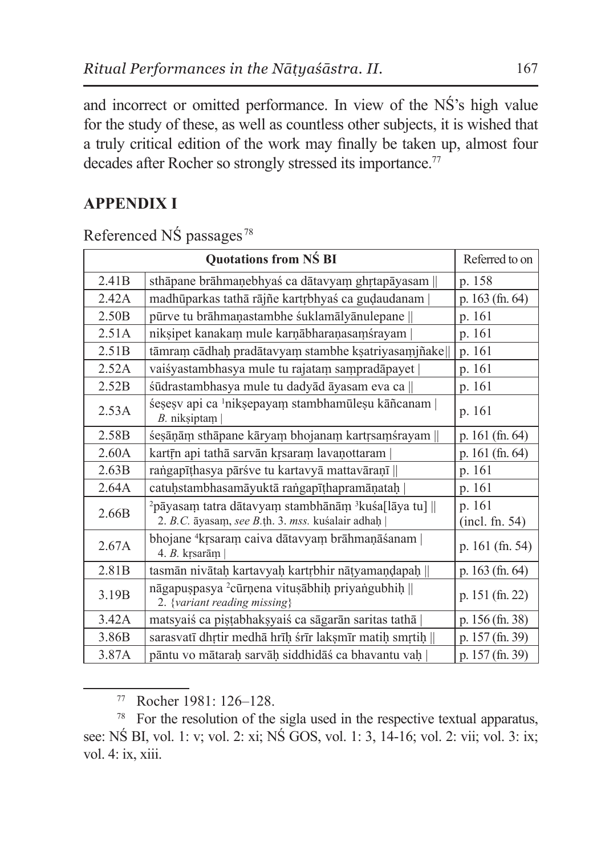and incorrect or omitted performance. In view of the NŚ's high value for the study of these, as well as countless other subjects, it is wished that a truly critical edition of the work may finally be taken up, almost four decades after Rocher so strongly stressed its importance.<sup>77</sup>

## **APPENDIX I**

|                   | <b>Quotations from NS BI</b>                                                                                                     | Referred to on           |
|-------------------|----------------------------------------------------------------------------------------------------------------------------------|--------------------------|
| 2.41 <sub>B</sub> | sthāpane brāhmaņebhyaś ca dātavyam ghrtapāyasam                                                                                  | p. 158                   |
| 2.42A             | madhūparkas tathā rājñe kartrbhyas ca gudaudanam                                                                                 | p. $163$ (fn. 64)        |
| 2.50B             | pūrve tu brāhmaņastambhe śuklamālyānulepane                                                                                      | p. 161                   |
| 2.51A             | niksipet kanakam mule karnābharanasamśrayam                                                                                      | p. 161                   |
| 2.51B             | tāmram cādhaḥ pradātavyam stambhe kṣatriyasamjñake                                                                               | p. 161                   |
| 2.52A             | vaisyastambhasya mule tu rajatam sampradāpayet                                                                                   | p. 161                   |
| 2.52B             | śūdrastambhasya mule tu dadyād āyasam eva ca                                                                                     | p. 161                   |
| 2.53A             | śesesy api ca <sup>1</sup> niksepayam stambhamūlesu kāñcanam  <br>B. niksiptam                                                   | p. 161                   |
| 2.58B             | śesāņām sthāpane kāryam bhojanam kartrsamśrayam                                                                                  | p. 161 (fn. 64)          |
| 2.60A             | kartīn api tathā sarvān krsaram lavaņottaram                                                                                     | p. $161$ (fn. 64)        |
| 2.63B             | rangapīthas va pāršve tu kartavā mattavāranī                                                                                     | p. 161                   |
| 2.64A             | catuḥstambhasamāyuktā raṅgapīṭhapramāṇataḥ                                                                                       | p. 161                   |
| 2.66B             | <sup>2</sup> pāyasam tatra dātavyam stambhānām <sup>3</sup> kuśa[lāya tu]   <br>2. B.C. āyasam, see B.th. 3. mss. kuśalair adhah | p. 161<br>(incl. fn. 54) |
| 2.67A             | bhojane <sup>4</sup> krsaram caiva dātavyam brāhmaņāśanam  <br>4. $B.$ krsarām                                                   | p. 161 (fn. 54)          |
| 2.81B             | tasmān nivātaḥ kartavyaḥ kartrbhir nāṭyamaṇḍapaḥ                                                                                 | p. 163 (fn. 64)          |
| 3.19 <sub>B</sub> | nāgapuspasya <sup>2</sup> cūrņena vitusābhih priyangubhih   <br>2. {variant reading missing}                                     | p. 151 (fn. 22)          |
| 3.42A             | matsyais ca pistabhaksyais ca sāgarān saritas tathā                                                                              | p. 156 (fn. 38)          |
| 3.86B             | sarasvatī dhrtir medhā hrīḥ śrīr lakṣmīr matiḥ smṛtiḥ                                                                            | p. 157 (fn. 39)          |
| 3.87A             | pāntu vo mātarah sarvāh siddhidāś ca bhavantu vah                                                                                | p. 157 (fn. 39)          |

Referenced NŚ passages <sup>78</sup>

<sup>77</sup> Rocher 1981: 126–128.

<sup>&</sup>lt;sup>78</sup> For the resolution of the sigla used in the respective textual apparatus, see: NŚ BI, vol. 1: v; vol. 2: xi; NŚ GOS, vol. 1: 3, 14-16; vol. 2: vii; vol. 3: ix; vol. 4: ix, xiii.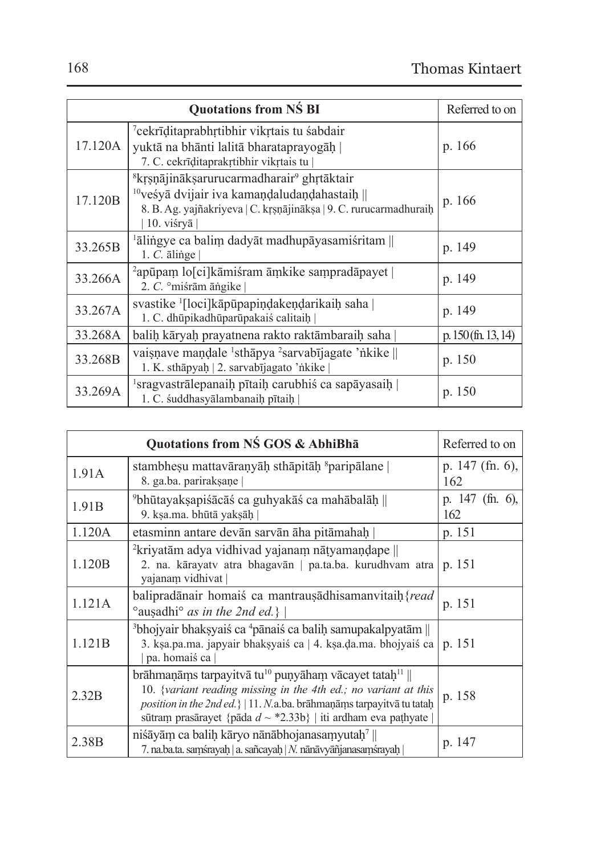| <b>Quotations from NS BI</b> |                                                                                                                                                                                                                    | Referred to on        |
|------------------------------|--------------------------------------------------------------------------------------------------------------------------------------------------------------------------------------------------------------------|-----------------------|
| 17.120A                      | <sup>7</sup> cekrīditaprabhrtibhir vikrtais tu sabdair<br>yuktā na bhānti lalitā bharataprayogāḥ<br>7. C. cekrīditaprakrtibhir vikrtais tu                                                                         | p. 166                |
| 17.120B                      | <sup>8</sup> krsņājināksarurucarmadharair <sup>9</sup> ghrtāktair<br><sup>10</sup> veśyā dvijair iva kamandaludaņdahastaih   <br>8. B. Ag. vajñakriyeva   C. krsnājināksa   9. C. rurucarmadhuraih<br>$10.$ visrya | p. 166                |
| 33.265B                      | <sup>1</sup> ālingye ca balim dadyāt madhupāyasamiśritam   <br>$1. C.$ $\bar{a}$ linge                                                                                                                             | p. 149                |
| 33.266A                      | $\alpha$ apūpam lo $\lceil$ ci $\rceil$ kāmiśram āmkike sampradāpayet<br>2. $C$ . $\circ$ miśrām āngike                                                                                                            | p. 149                |
| 33.267A                      | svastike [[loci]kāpūpapindakendarikaih saha  <br>1. C. dhūpikadhūparūpakaiś calitaih                                                                                                                               | p. 149                |
| 33.268A                      | balih kāryah prayatnena rakto raktāmbaraih saha                                                                                                                                                                    | p. $150$ (fn. 13, 14) |
| 33.268B                      | vaisnave mandale 'sthāpya 'sarvabījagate 'nkike   <br>1. K. sthāpyaḥ   2. sarvabījagato 'nkike                                                                                                                     | p. 150                |
| 33.269A                      | sragyastrālepanaih pītaih carubhis ca sapāyasaih<br>1. C. śuddhasyālambanaih pītaih                                                                                                                                | p. 150                |

| Quotations from NŚ GOS & AbhiBha |                                                                                                                                                                                                                                                                                                   | Referred to on           |
|----------------------------------|---------------------------------------------------------------------------------------------------------------------------------------------------------------------------------------------------------------------------------------------------------------------------------------------------|--------------------------|
| 1.91A                            | stambhesu mattavāranyāh sthāpitāh <sup>s</sup> paripālane<br>8. ga.ba. pariraksane                                                                                                                                                                                                                | p. $147$ (fn. 6),<br>162 |
| 1.91 <sub>B</sub>                | $\degree$ bhūtayaksapiśācāś ca guhyakāś ca mahābalāh   <br>9. ksa.ma. bhūtā yaksāh                                                                                                                                                                                                                | p. $147$ (fn. 6),<br>162 |
| 1.120A                           | etasminn antare devān sarvān āha pitāmahah                                                                                                                                                                                                                                                        | p. 151                   |
| 1.120B                           | <sup>2</sup> krivatām adva vidhivad vajanam nātvamandape   <br>2. na. kārayatv atra bhagavān   pa.ta.ba. kurudhvam atra<br>yajanam vidhivat                                                                                                                                                       | p. 151                   |
| 1.121A                           | balipradānair homais ca mantrausādhisamanvitaih {read<br>° ausadhi° as in the 2nd ed.}                                                                                                                                                                                                            | p. 151                   |
| 1.121B                           | <sup>3</sup> bhojyair bhaksyais ca <sup>4</sup> pānais ca balih samupakalpyatām   <br>3. ksa.pa.ma. japyair bhaksyais ca   4. ksa.da.ma. bhojyais ca  <br>pa. homaiś ca                                                                                                                           | p. 151                   |
| 2.32B                            | brāhmaņāms tarpayitvā tu <sup>10</sup> puņyāham vācayet tatah <sup>11</sup>   <br>10. {variant reading missing in the 4th ed.; no variant at this<br>position in the 2nd ed. \   11. N.a.ba. brāhmanāms tarpayitvā tu tatah<br>sūtram prasārayet {pāda $d \sim$ *2.33b}   iti ardham eva paṭhyate | p. 158                   |
| 2.38B                            | nisāyām ca balih kāryo nānābhojanasamyutah <sup>7</sup><br>7. na.ba.ta. samśrayah   a. sañcayah   N. nānāvyāñjanasamśrayah                                                                                                                                                                        | p. 147                   |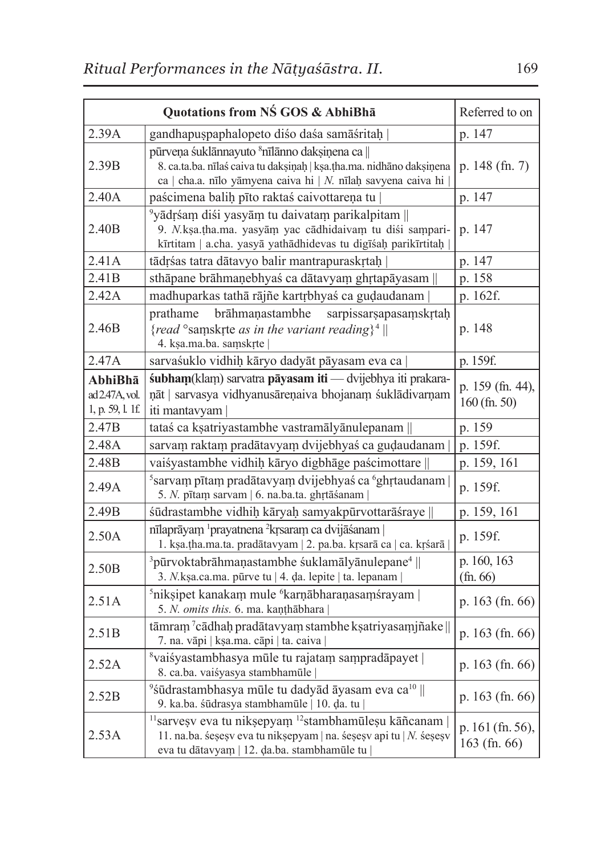| <b>Quotations from NS GOS &amp; AbhiBha</b>   |                                                                                                                                                                                                       | Referred to on                     |
|-----------------------------------------------|-------------------------------------------------------------------------------------------------------------------------------------------------------------------------------------------------------|------------------------------------|
| 2.39A                                         | gandhapuspaphalopeto diśo daśa samāśritaḥ                                                                                                                                                             | p. 147                             |
| 2.39B                                         | pūrveņa suklānnavuto <sup>8</sup> nīlānno daksinena ca   <br>8. ca.ta.ba. nīlas caiva tu daksiņah   kṣa.tha.ma. nidhāno daksiņena<br>ca   cha.a. nīlo yāmyena caiva hi   $N$ . nīlaḥ savyena caiva hi | p. 148 (fn. 7)                     |
| 2.40A                                         | paścimena balih pīto raktaś caivottarena tu                                                                                                                                                           | p. 147                             |
| 2.40 <sub>B</sub>                             | <sup>9</sup> yādrśam diśi yasyām tu daivatam parikalpitam   <br>9. N.kṣa.tha.ma. yasyām yac cādhidaivam tu diśi sampari-<br>kīrtitam   a.cha. yasyā yathādhidevas tu digīśaḥ parikīrtitaḥ             | p. 147                             |
| 2.41A                                         | tādrśas tatra dātavyo balir mantrapuraskrtaķ                                                                                                                                                          | p. 147                             |
| 2.41 <sub>B</sub>                             | sthāpane brāhmaņebhyaś ca dātavyam ghrtapāyasam                                                                                                                                                       | p. 158                             |
| 2.42A                                         | madhuparkas tathā rājñe kartrbhyaś ca gudaudanam                                                                                                                                                      | p. 162f.                           |
| 2.46B                                         | brāhmanastambhe<br>prathame<br>sarpissarsapasamskrtah<br>{read °samskrte as in the variant reading} <sup>4</sup>   <br>4. ksa.ma.ba. samskrte                                                         | p. 148                             |
| 2.47A                                         | sarvaśuklo vidhih kāryo dadyāt pāyasam eva ca                                                                                                                                                         | p. 159f.                           |
| AbhiBha<br>ad 2.47A, vol.<br>1, p. 59, l. 1f. | śubham(klam) sarvatra pāyasam iti — dvijebhya iti prakara-<br>ņāt   sarvasya vidhyanusāreņaiva bhojanam śuklādivarņam<br>iti mantavyam                                                                | p. 159 (fn. 44),<br>$160$ (fn. 50) |
| 2.47B                                         | tataś ca kṣatriyastambhe vastramālyānulepanam                                                                                                                                                         | p. 159                             |
| 2.48A                                         | sarvam raktam pradātavyam dvijebhyaś ca gudaudanam                                                                                                                                                    | p. 159f.                           |
| 2.48B                                         | vaisyastambhe vidhiḥ kāryo digbhāge paścimottare                                                                                                                                                      | p. 159, 161                        |
| 2.49A                                         | <sup>5</sup> sarvam pītam pradātavyam dvijebhyaś ca <sup>6</sup> ghrtaudanam<br>5. N. pītam sarvam   6. na.ba.ta. ghrtāśanam                                                                          | p. 159f.                           |
| 2.49B                                         | śūdrastambhe vidhiḥ kāryaḥ samyakpūrvottarāśraye                                                                                                                                                      | p. 159, 161                        |
| 2.50A                                         | nīlaprāyam <sup>1</sup> prayatnena <sup>2</sup> krsaram ca dvijāśanam  <br>1. kṣa.tha.ma.ta. pradātavyam   2. pa.ba. kṛsarā ca   ca. kṛśarā                                                           | p. 159f.                           |
| 2.50 <sub>B</sub>                             | <sup>3</sup> pūrvoktabrāhmaņastambhe śuklamālyānulepane <sup>4</sup>   <br>3. N. kṣa.ca.ma. pūrve tu   4. da. lepite   ta. lepanam                                                                    | p. 160, 163<br>(fn. 66)            |
| 2.51A                                         | <sup>5</sup> niksipet kanakam mule <sup>6</sup> karnābharaņasamśrayam  <br>5. N. omits this. 6. ma. kanthābhara                                                                                       | p. 163 (fn. 66)                    |
| 2.51B                                         | tāmram <sup>7</sup> cādhaḥ pradātavyaṃ stambhe kṣatriyasaṃjñake   <br>7. na. vāpi   kṣa.ma. cāpi   ta. caiva                                                                                          | p. 163 (fn. 66)                    |
| 2.52A                                         | <sup>8</sup> vaiśyastambhasya mūle tu rajatam sampradāpayet  <br>8. ca.ba. vaiśyasya stambhamūle                                                                                                      | p. 163 (fn. 66)                    |
| 2.52B                                         | <sup>9</sup> śūdrastambhasya mūle tu dadyād āyasam eva ca <sup>10</sup>   <br>9. ka.ba. śūdrasya stambhamūle   10. da. tu                                                                             | p. $163$ (fn. 66)                  |
| 2.53A                                         | <sup>11</sup> sarveşv eva tu nikşepyam <sup>12</sup> stambhamūleşu kāñcanam<br>11. na.ba. śesesy eva tu niksepyam   na. śesesy api tu   N. śesesy<br>eva tu dātavyam   12. da.ba. stambhamūle tu      | p. 161 (fn. 56),<br>163 (fn. 66)   |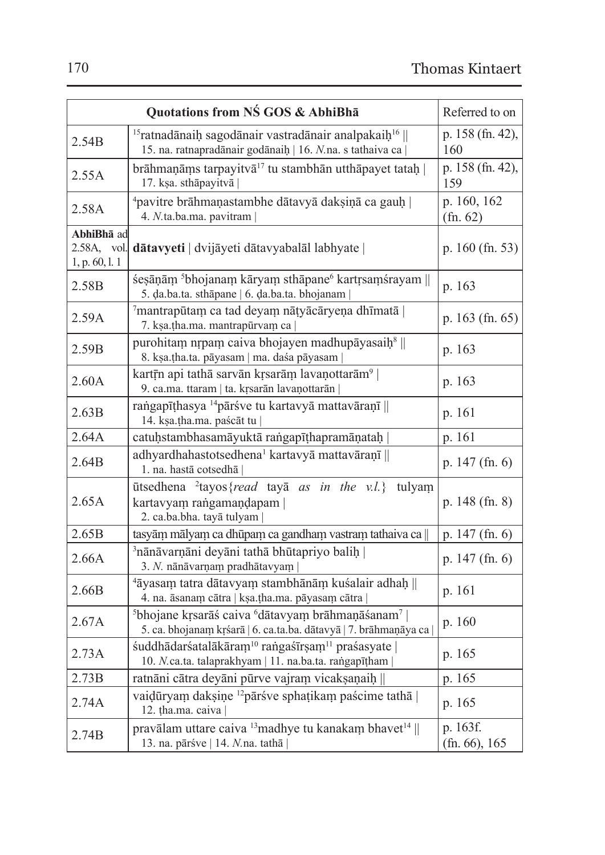| Quotations from NŚ GOS & AbhiBha            |                                                                                                                                                         | Referred to on               |
|---------------------------------------------|---------------------------------------------------------------------------------------------------------------------------------------------------------|------------------------------|
| 2.54B                                       | $15$ ratnadānaih sagodānair vastradānair analpakaih $16$   <br>15. na. ratnapradānair godānaih   16. N.na. s tathaiva ca                                | p. 158 (fn. 42),<br>160      |
| 2.55A                                       | brāhmaņāms tarpayitvā <sup>17</sup> tu stambhān utthāpayet tataḥ  <br>17. kṣa. sthāpayitvā                                                              | p. 158 (fn. 42),<br>159      |
| 2.58A                                       | <sup>4</sup> pavitre brāhmaņastambhe dātavyā daksiņā ca gauh  <br>4. N.ta.ba.ma. pavitram                                                               | p. 160, 162<br>(fn. 62)      |
| AbhiBha ad<br>2.58A, vol.<br>1, p. 60, l. 1 | dātavyeti   dvijāyeti dātavyabalāl labhyate                                                                                                             | p. 160 (fn. 53)              |
| 2.58B                                       | śesāņām <sup>5</sup> bhojanam kāryam sthāpane <sup>6</sup> kartrsamśrayam   <br>5. da.ba.ta. sthāpane   6. da.ba.ta. bhojanam                           | p. 163                       |
| 2.59A                                       | 7mantrapūtam ca tad deyam nātyācāryeņa dhīmatā  <br>7. kṣa.tha.ma. mantrapūrvam ca                                                                      | p. $163$ (fn. 65)            |
| 2.59B                                       | purohitam nrpam caiva bhojayen madhupāyasaiņ <sup>8</sup>   <br>8. kṣa.tha.ta. pāyasam   ma. daśa pāyasam                                               | p. 163                       |
| 2.60A                                       | kartīn api tathā sarvān krsarām lavaņottarām <sup>9</sup>  <br>9. ca.ma. ttaram   ta. krsarān lavaņottarān                                              | p. 163                       |
| 2.63B                                       | rangapīthasya <sup>14</sup> pārśve tu kartavyā mattavāraņī   <br>14. ksa.tha.ma. paścāt tu                                                              | p. 161                       |
| 2.64A                                       | catuḥstambhasamāyuktā raṅgapīṭhapramāṇataḥ                                                                                                              | p. 161                       |
| 2.64B                                       | adhyardhahastotsedhena <sup>1</sup> kartavyā mattavāraņī   <br>1. na. hastā cotsedhā                                                                    | p. 147 (fn. 6)               |
| 2.65A                                       | $\bar{u}$ tsedhena <sup>2</sup> tayos{ <i>read</i> tay $\bar{a}$ as in the v.l.}<br>tulyam<br>kartavyam rangamandapam<br>2. ca.ba.bha. tayā tulyam      | p. 148 (fn. 8)               |
| 2.65B                                       | tasyām mālyam ca dhūpam ca gandham vastram tathaiva ca                                                                                                  | p. $147$ (fn. 6)             |
| 2.66A                                       | 3 nānāvarņāni deyāni tathā bhūtapriyo balih<br>3. N. nānāvarņam pradhātavyam                                                                            | p. 147 (fn. 6)               |
| 2.66B                                       | <sup>4</sup> āyasam tatra dātavyam stambhānām kuśalair adhaḥ   <br>4. na. āsanam cātra   kṣa.tha.ma. pāyasam cātra                                      | p. 161                       |
| 2.67A                                       | <sup>5</sup> bhojane krsarāś caiva <sup>6</sup> dātavyam brāhmaņāśanam <sup>7</sup><br>5. ca. bhojanam krśarā   6. ca.ta.ba. dātavyā   7. brāhmaņāya ca | p. 160                       |
| 2.73A                                       | śuddhādarśatalākāram <sup>10</sup> rangaśīrṣam <sup>11</sup> praśasyate  <br>10. N.ca.ta. talaprakhyam   11. na.ba.ta. rangapīțham                      | p. 165                       |
| 2.73B                                       | ratnāni cātra deyāni pūrve vajram vicakṣaṇaiḥ                                                                                                           | p. 165                       |
| 2.74A                                       | vaidūryam daksiņe <sup>12</sup> pāršve sphațikam paścime tathā  <br>12. tha.ma. caiva                                                                   | p. 165                       |
| 2.74B                                       | pravālam uttare caiva 13 madhye tu kanakam bhavet <sup>14</sup>   <br>13. na. pārśve   14. N.na. tathā                                                  | p. 163f.<br>$(fn. 66)$ , 165 |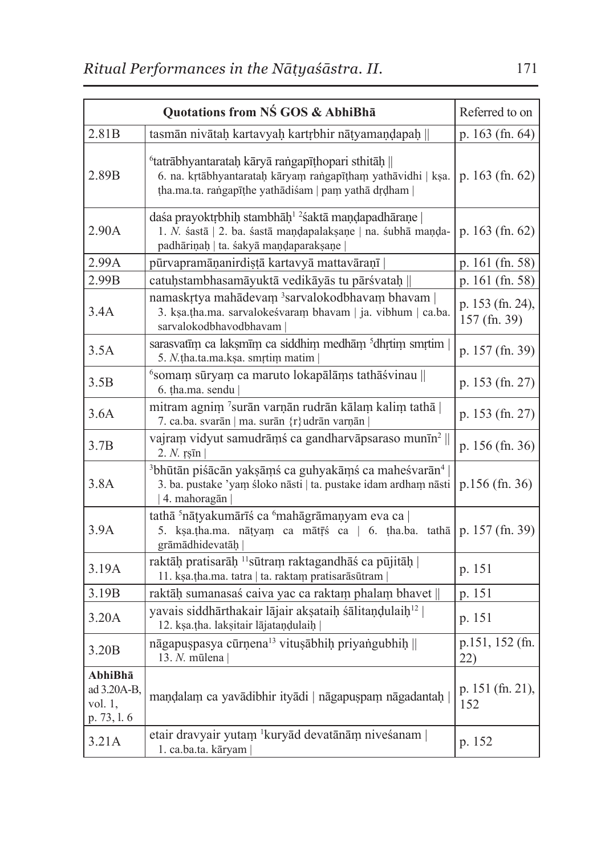| Quotations from NŚ GOS & AbhiBha                    |                                                                                                                                                                                       | Referred to on                   |
|-----------------------------------------------------|---------------------------------------------------------------------------------------------------------------------------------------------------------------------------------------|----------------------------------|
| 2.81B                                               | tasmān nivātah kartavyah kartrbhir nātyamandapah                                                                                                                                      | p. 163 (fn. 64)                  |
| 2.89B                                               | <sup>6</sup> tatrābhyantaratah kāryā rangapīthopari sthitāh   <br>6. na. krtābhyantarataḥ kāryam raṅgapīṭham yathāvidhi   kṣa.<br>tha.ma.ta. rangapīthe yathādiśam   pam yathā drdham | p. $163$ (fn. 62)                |
| 2.90A                                               | daśa prayoktrbhih stambhāh <sup>12</sup> śaktā mandapadhārane<br>1. N. śastā   2. ba. śastā maņdapalaksaņe   na. śubhā maņda-<br>padhāriņaḥ   ta. śakyā maņḍaparakṣaṇe                | p. 163 (fn. 62)                  |
| 2.99A                                               | pūrvapramāņanirdistā kartavyā mattavāraņī                                                                                                                                             | p. 161 (fn. 58)                  |
| 2.99B                                               | catuņstambhasamāyuktā vedikāyās tu pārśvataņ                                                                                                                                          | p. 161 (fn. 58)                  |
| 3.4A                                                | namaskrtya mahādevam 3sarvalokodbhavam bhavam  <br>3. kṣa.tha.ma. sarvalokeśvaram bhavam   ja. vibhum   ca.ba.<br>sarvalokodbhavodbhavam                                              | p. 153 (fn. 24),<br>157 (fn. 39) |
| 3.5A                                                | sarasvatīm ca laksmīm ca siddhim medhām <sup>5</sup> dhrtim smrtim<br>5. N.tha.ta.ma.ksa. smrtim matim                                                                                | p. 157 (fn. 39)                  |
| 3.5B                                                | <sup>6</sup> somam sūryam ca maruto lokapālāms tathāśvinau   <br>6. tha.ma. sendu                                                                                                     | p. 153 (fn. 27)                  |
| 3.6A                                                | mitram agnim 7surān varņān rudrān kālam kalim tathā  <br>7. ca.ba. svarān   ma. surān {r}udrān varņān                                                                                 | p. 153 (fn. 27)                  |
| 3.7B                                                | vajram vidyut samudrāms ca gandharvāpsaraso munīn <sup>2</sup>   <br>$2. N.$ rs $\bar{\text{m}}$                                                                                      | p. 156 (fn. 36)                  |
| 3.8A                                                | <sup>3</sup> bhūtān piśācān yakṣāṃś ca guhyakāṃś ca maheśvarān <sup>4</sup><br>3. ba. pustake 'yam śloko nāsti   ta. pustake idam ardham nāsti<br>4. mahoragān                        | p.156 (fn. 36)                   |
| 3.9A                                                | tathā <sup>5</sup> nātyakumārīś ca <sup>6</sup> mahāgrāmaņyam eva ca  <br>5. kṣa.tha.ma. nātyam ca mātr̄ś ca   6. tha.ba. tathā<br>grāmādhidevatāḥ                                    | p. 157 (fn. 39)                  |
| 3.19A                                               | raktāḥ pratisarāḥ <sup>11</sup> sūtram raktagandhāś ca pūjitāḥ  <br>11. kṣa.tha.ma. tatra   ta. raktam pratisarāsūtram                                                                | p. 151                           |
| 3.19B                                               | raktāḥ sumanasaś caiva yac ca raktam phalam bhavet                                                                                                                                    | p. 151                           |
| 3.20A                                               | yavais siddhārthakair lājair aksataiņ sālitaņdulaiņ <sup>12</sup><br>12. kṣa.tha. lakṣitair lājataṇḍulaiḥ                                                                             | p. 151                           |
| 3.20 <sub>B</sub>                                   | nāgapus pasva cūrņena <sup>13</sup> vitusābhih privangubhih $\parallel$<br>13. N. mūlena                                                                                              | p.151, 152 (fn.<br>22)           |
| AbhiBhā<br>ad 3.20A-B,<br>vol. $1$ ,<br>p. 73, l. 6 | maņdalam ca yavādibhir ityādi   nāgapuspam nāgadantaḥ                                                                                                                                 | p. 151 (fn. 21),<br>152          |
| 3.21A                                               | etair dravyair yutam 'kuryād devatānām niveśanam  <br>1. ca.ba.ta. kāryam                                                                                                             | p. 152                           |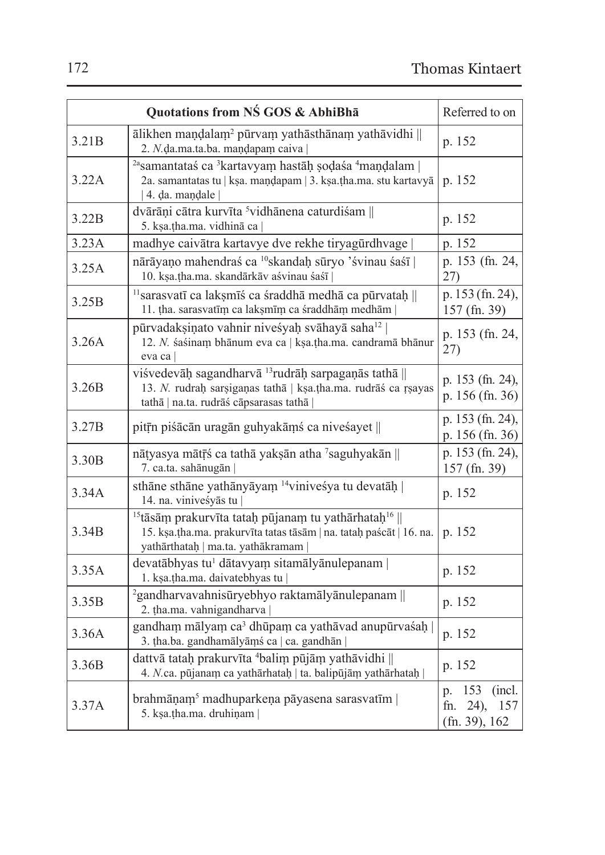| Quotations from NŚ GOS & AbhiBha |                                                                                                                                                                                          | Referred to on                                              |
|----------------------------------|------------------------------------------------------------------------------------------------------------------------------------------------------------------------------------------|-------------------------------------------------------------|
| 3.21B                            | ālikhen maņdalam <sup>2</sup> pūrvam yathāsthānam yathāvidhi   <br>2. N.da.ma.ta.ba. mandapam caiva                                                                                      | p. 152                                                      |
| 3.22A                            | <sup>2a</sup> samantataś ca <sup>3</sup> kartavyam hastāḥ șoḍaśa <sup>4</sup> maṇḍalam<br>2a. samantatas tu   kṣa. maṇḍapam   3. kṣa.tha.ma. stu kartavyā<br>  4. da. mandale            | p. 152                                                      |
| 3.22B                            | dvārāņi cātra kurvīta <sup>5</sup> vidhānena caturdiśam   <br>5. kṣa.tha.ma. vidhinā ca                                                                                                  | p. 152                                                      |
| 3.23A                            | madhye caivātra kartavye dve rekhe tiryagūrdhvage                                                                                                                                        | p. 152                                                      |
| 3.25A                            | nārāyaņo mahendraś ca <sup>10</sup> skandaļ sūryo 'śvinau śaśī  <br>10. ksa.tha.ma. skandārkāv aśvinau śaśī                                                                              | p. 153 (fn. 24,<br>27)                                      |
| 3.25B                            | <sup>11</sup> sarasvatī ca laksmīš ca šraddhā medhā ca pūrvataḥ   <br>11. tha. sarasvatīm ca laksmīm ca śraddhām medhām                                                                  | p. 153 (fn. 24),<br>157 (fn. 39)                            |
| 3.26A                            | pūrvadaksiņato vahnir nivesyah svāhayā saha <sup>12</sup><br>12. N. śaśinam bhānum eva ca   kṣa.tha.ma. candramā bhānur<br>eva ca                                                        | p. 153 (fn. 24,<br>27)                                      |
| 3.26B                            | viśvedevāḥ sagandharvā <sup>13</sup> rudrāḥ sarpagaṇās tathā   <br>13. N. rudrah sarsiganas tathā   kṣa.tha.ma. rudrāś ca rṣayas<br>tathā   na.ta. rudrāś cāpsarasas tathā               | p. 153 (fn. 24),<br>p. 156 (fn. 36)                         |
| 3.27B                            | pitīn piśācān uragān guhyakāmś ca niveśayet                                                                                                                                              | p. 153 (fn. 24),<br>p. 156 (fn. 36)                         |
| 3.30B                            | nātyasya mātrs ca tathā yakṣān atha 'saguhyakān   <br>7. ca.ta. sahānugān                                                                                                                | p. 153 (fn. 24),<br>157 (fn. 39)                            |
| 3.34A                            | sthāne sthāne yathānyāyam <sup>14</sup> vinivesya tu devatāņ<br>14. na. viniveśyās tu                                                                                                    | p. 152                                                      |
| 3.34B                            | <sup>15</sup> tāsām prakurvīta tatah pūjanam tu yathārhatah <sup>16</sup>   <br>15. kṣa.tha.ma. prakurvīta tatas tāsām   na. tataḥ paścāt   16. na.<br>yathārthataḥ   ma.ta. yathākramam | p. 152                                                      |
| 3.35A                            | devatābhyas tu <sup>1</sup> dātavyam sitamālyānulepanam<br>1. kṣa.tha.ma. daivatebhyas tu                                                                                                | p. 152                                                      |
| 3.35B                            | <sup>2</sup> gandharvavahnisūryebhyo raktamālyānulepanam   <br>2. tha.ma. vahnigandharva                                                                                                 | p. 152                                                      |
| 3.36A                            | gandham mālyam ca <sup>3</sup> dhūpam ca yathāvad anupūrvaśah  <br>3. tha.ba. gandhamālyāmś ca   ca. gandhān                                                                             | p. 152                                                      |
| 3.36B                            | dattvā tatah prakurvīta <sup>4</sup> balim pūjām yathāvidhi   <br>4. N.ca. pūjanam ca yathārhataḥ   ta. balipūjām yathārhataḥ                                                            | p. 152                                                      |
| 3.37A                            | brahmāņam <sup>5</sup> madhuparkeņa pāyasena sarasvatīm  <br>5. ksa.tha.ma. druhinam                                                                                                     | 153<br>(incl.)<br>D.<br>fn. $24$ ),<br>157<br>(fn. 39), 162 |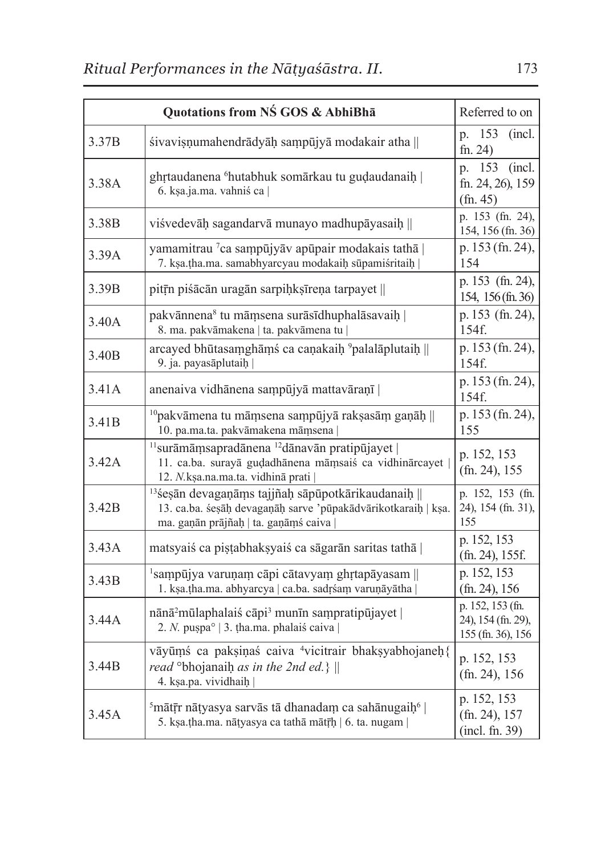| Quotations from NS GOS & AbhiBha |                                                                                                                                                                         | Referred to on                                              |
|----------------------------------|-------------------------------------------------------------------------------------------------------------------------------------------------------------------------|-------------------------------------------------------------|
| 3.37B                            | sivavisņumahendrādyāḥ saṃpūjyā modakair atha                                                                                                                            | 153<br>(incl.)<br>p.<br>fn. 24)                             |
| 3.38A                            | ghrtaudanena <sup>6</sup> hutabhuk somārkau tu gudaudanaih  <br>6. kṣa.ja.ma. vahniś ca                                                                                 | 153<br>(incl.<br>p.<br>fn. 24, 26), 159<br>(fn. 45)         |
| 3.38B                            | viśvedevāḥ sagandarvā munayo madhupāyasaiḥ                                                                                                                              | p. 153 (fn. 24),<br>154, 156 (fn. 36)                       |
| 3.39A                            | yamamitrau 7ca sampūjyāv apūpair modakais tathā  <br>7. kṣa.tha.ma. samabhyarcyau modakaiḥ sūpamiśritaiḥ                                                                | p. 153 (fn. 24),<br>154                                     |
| 3.39B                            | pitrīn pisācān uragān sarpiņksīreņa tarpayet                                                                                                                            | p. 153 (fn. 24),<br>154, 156 (fn. 36)                       |
| 3.40A                            | pakvānnena <sup>8</sup> tu māmsena surāsīdhuphalāsavaih  <br>8. ma. pakvāmakena   ta. pakvāmena tu                                                                      | p. 153 (fn. 24),<br>154f.                                   |
| 3.40 <sub>B</sub>                | arcayed bhūtasamghāmś ca caṇakaiḥ <sup>9</sup> palalāplutaiḥ   <br>9. ja. payasāplutaih                                                                                 | p. 153 (fn. 24),<br>154f.                                   |
| 3.41A                            | anenaiva vidhānena sampūjyā mattavāraņī                                                                                                                                 | p. 153 (fn. 24),<br>154f.                                   |
| 3.41B                            | <sup>10</sup> pakvāmena tu māmsena sampūjyā raksasām gaņāņ<br>10. pa.ma.ta. pakvāmakena māmsena                                                                         | p. 153 (fn. 24),<br>155                                     |
| 3.42A                            | <sup>11</sup> surāmāmsapradānena <sup>12</sup> dānavān pratipūjayet  <br>11. ca.ba. surayā gudadhānena māmsaiś ca vidhinārcayet<br>12. N.kṣa.na.ma.ta. vidhinā prati    | p. 152, 153<br>$(fn. 24)$ , 155                             |
| 3.42B                            | <sup>13</sup> śesān devagaņāms tajjñah sāpūpotkārikaudanaih   <br>13. ca.ba. śesāņ devagaņāņ sarve 'pūpakādvārikotkaraiņ   kṣa.<br>ma. gaņān prājñaḥ   ta. gaņāmś caiva | p. 152, 153 (fn.<br>24), 154 (fn. 31),<br>155               |
| 3.43A                            | matsyaiś ca pistabhaksyaiś ca sāgarān saritas tathā                                                                                                                     | p. 152, 153<br>$(\text{fn. 24}), 155f.$                     |
| 3.43B                            | $\frac{1}{2}$ sampūjya varuņam cāpi cātavyam ghrtapāyasam   <br>1. kṣa.tha.ma. abhyarcya   ca.ba. sadrśam varuṇāyātha                                                   | p. 152, 153<br>$(\text{fn. 24}), 156$                       |
| 3.44A                            | $n\bar{a}n\bar{a}^2$ mūlaphalais cāpi <sup>3</sup> munīn sampratipūjayet<br>2. N. pușpa°   3. tha.ma. phalaiś caiva                                                     | p. 152, 153 (fn.<br>24), 154 (fn. 29),<br>155 (fn. 36), 156 |
| 3.44B                            | vāyūmś ca paksiņas caiva <sup>4</sup> vicitrair bhaksyabhojaneh{<br>read $\degree$ bhojanaih as in the 2nd ed.}<br>4. kṣa.pa. vividhaiḥ                                 | p. 152, 153<br>$(fn. 24)$ , 156                             |
| 3.45A                            | <sup>5</sup> mātīr nātyasya sarvās tā dhanadam ca sahānugaiņ <sup>6</sup>  <br>5. kṣa.țha.ma. nāțyasya ca tathā mātr̄ḥ   6. ta. nugam                                   | p. 152, 153<br>(fn. 24), 157<br>(incl. fn. 39)              |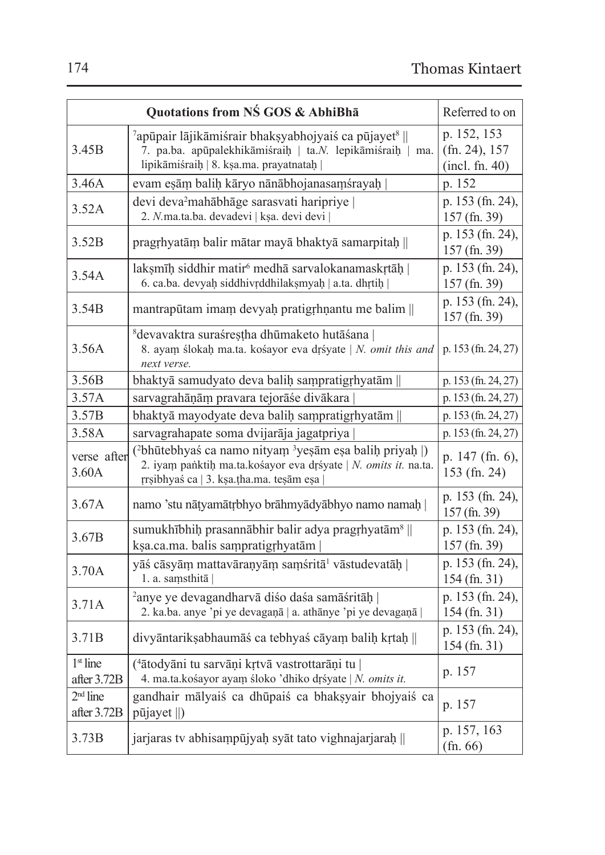| Quotations from NS GOS & AbhiBha |                                                                                                                                                                                               | Referred to on                                    |
|----------------------------------|-----------------------------------------------------------------------------------------------------------------------------------------------------------------------------------------------|---------------------------------------------------|
| 3.45B                            | <sup>7</sup> apūpair lājikāmiśrair bhaksyabhojyaiś ca pūjayet <sup>8</sup><br>7. pa.ba. apūpalekhikāmiśraih   ta.N. lepikāmiśraih   ma.<br>lipikāmiśraih   8. kṣa.ma. prayatnataḥ             | p. 152, 153<br>$(fn. 24)$ , 157<br>(incl. fn. 40) |
| 3.46A                            | evam eşām balih kāryo nānābhojanasamśrayah                                                                                                                                                    | p. 152                                            |
| 3.52A                            | devi deva <sup>2</sup> mahābhāge sarasvati haripriye<br>2. N.ma.ta.ba. devadevi   kṣa. devi devi                                                                                              | p. 153 (fn. 24),<br>157 (fn. 39)                  |
| 3.52B                            | pragrhyatām balir mātar mayā bhaktyā samarpitaḥ                                                                                                                                               | p. 153 (fn. 24),<br>157 (fn. 39)                  |
| 3.54A                            | lakşmīḥ siddhir matir <sup>6</sup> medhā sarvalokanamaskrtāḥ  <br>6. ca.ba. devyah siddhivrddhilaksmyah   a.ta. dhrtih                                                                        | p. 153 (fn. 24),<br>157 (fn. 39)                  |
| 3.54B                            | mantrapūtam imam devyaḥ pratigrhṇantu me balim                                                                                                                                                | p. 153 (fn. 24),<br>157 (fn. 39)                  |
| 3.56A                            | <sup>8</sup> devavaktra suraśrestha dhūmaketo hutāśana  <br>8. ayam ślokah ma.ta. kośayor eva drśyate   N. omit this and<br>next verse.                                                       | p. 153 (fn. 24, 27)                               |
| 3.56B                            | bhaktyā samudyato deva balih sampratigrhyatām                                                                                                                                                 | p. 153 (fn. 24, 27)                               |
| 3.57A                            | sarvagrahāņām pravara tejorāśe divākara                                                                                                                                                       | p. 153 (fn. 24, 27)                               |
| 3.57B                            | bhaktyā mayodyate deva balih sampratigrhyatām                                                                                                                                                 | p. 153 (fn. 24, 27)                               |
| 3.58A                            | sarvagrahapate soma dvijarāja jagatpriya                                                                                                                                                      | p. 153 (fn. 24, 27)                               |
| verse after<br>3.60A             | ( <sup>2</sup> bhūtebhyaś ca namo nityam <sup>3</sup> yeşām eşa balih priyah  )<br>2. iyam panktih ma.ta.kośayor eva drśyate   N. omits it. na.ta.<br>rrsibhyaś ca   3. kṣa.tha.ma. teṣām eṣa | p. $147$ (fn. 6),<br>153 (fn. 24)                 |
| 3.67A                            | namo 'stu nātyamātrbhyo brāhmyādyābhyo namo namah                                                                                                                                             | p. 153 (fn. 24),<br>157 (fn. 39)                  |
| 3.67B                            | sumukhībhiḥ prasannābhir balir adya pragrhyatām <sup>8</sup>   <br>kṣa.ca.ma. balis saṃpratigṛhyatām                                                                                          | p. 153 (fn. 24),<br>157 (fn. 39)                  |
| 3.70A                            | yāś cāsyām mattavāraņyām samśritā <sup>1</sup> vāstudevatāh  <br>1. a. samsthitā                                                                                                              | p. 153 (fn. 24),<br>154 (fn. 31)                  |
| 3.71A                            | <sup>2</sup> anye ye devagandharvā diśo daśa samāśritāḥ<br>2. ka.ba. anye 'pi ye devaganā   a. athānye 'pi ye devaganā                                                                        | p. 153 (fn. 24),<br>154 (fn. 31)                  |
| 3.71B                            | divyāntarikṣabhaumāś ca tebhyaś cāyam baliḥ kṛtaḥ                                                                                                                                             | p. 153 (fn. 24),<br>$154$ (fn. 31)                |
| $1st$ line<br>after 3.72B        | ( <sup>4</sup> ātodyāni tu sarvāņi krtvā vastrottarāņi tu  <br>4. ma.ta.kośayor ayam śloko 'dhiko drśyate   N. omits it.                                                                      | p. 157                                            |
| $2nd$ line<br>after 3.72B        | gandhair mālyaiś ca dhūpaiś ca bhaksyair bhojyaiś ca<br>pūjayet   )                                                                                                                           | p. 157                                            |
| 3.73B                            | jarjaras tv abhisampūjyah syāt tato vighnajarjarah                                                                                                                                            | p. 157, 163<br>(fn. 66)                           |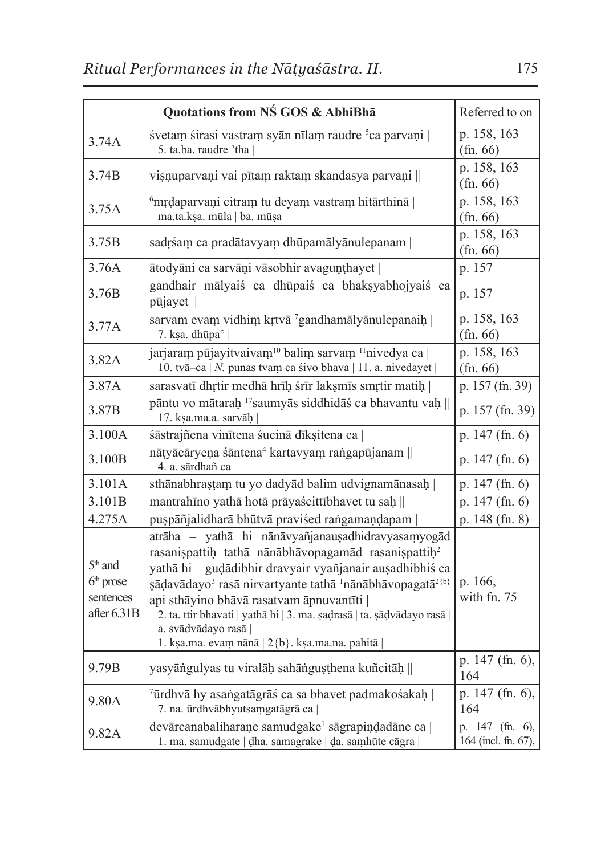| Quotations from NS GOS & AbhiBha                       |                                                                                                                                                                                                                                                                                                                                                                                                                                                                                    | Referred to on                         |
|--------------------------------------------------------|------------------------------------------------------------------------------------------------------------------------------------------------------------------------------------------------------------------------------------------------------------------------------------------------------------------------------------------------------------------------------------------------------------------------------------------------------------------------------------|----------------------------------------|
| 3.74A                                                  | śvetam śirasi vastram syān nīlam raudre <sup>5</sup> ca parvaņi  <br>5. ta.ba. raudre 'tha                                                                                                                                                                                                                                                                                                                                                                                         | p. 158, 163<br>(fn. 66)                |
| 3.74B                                                  | visnuparvani vai pītam raktam skandasya parvani                                                                                                                                                                                                                                                                                                                                                                                                                                    | p. 158, 163<br>(fn. 66)                |
| 3.75A                                                  | <sup>6</sup> mrdaparvani citram tu deyam vastram hitārthinā  <br>ma.ta.kṣa. mūla   ba. mūṣa                                                                                                                                                                                                                                                                                                                                                                                        | p. 158, 163<br>(fn. 66)                |
| 3.75B                                                  | sadrśam ca pradātavyam dhūpamālyānulepanam                                                                                                                                                                                                                                                                                                                                                                                                                                         | p. 158, 163<br>(fn. 66)                |
| 3.76A                                                  | ātodyāni ca sarvāņi vāsobhir avaguņțhayet                                                                                                                                                                                                                                                                                                                                                                                                                                          | p. 157                                 |
| 3.76B                                                  | gandhair mālyaiś ca dhūpaiś ca bhaksyabhojyaiś ca<br>pūjayet                                                                                                                                                                                                                                                                                                                                                                                                                       | p. 157                                 |
| 3.77A                                                  | sarvam evam vidhim krtvā <sup>7</sup> gandhamālyānulepanaih  <br>7. ksa. dhūpa°                                                                                                                                                                                                                                                                                                                                                                                                    | p. 158, 163<br>(fn. 66)                |
| 3.82A                                                  | jarjaram pūjayitvaivam <sup>10</sup> balim sarvam <sup>11</sup> nivedya ca  <br>10. tvā-ca   N. punas tvam ca śivo bhava   11. a. nivedayet                                                                                                                                                                                                                                                                                                                                        | p. 158, 163<br>(fn. 66)                |
| 3.87A                                                  | sarasvatī dhrtir medhā hrīh śrīr laksmīs smrtir matih                                                                                                                                                                                                                                                                                                                                                                                                                              | p. 157 (fn. 39)                        |
| 3.87B                                                  | pāntu vo mātarah 17 saumyās siddhidāś ca bhavantu vaḥ   <br>17. ksa.ma.a. sarvāh                                                                                                                                                                                                                                                                                                                                                                                                   | p. 157 (fn. 39)                        |
| 3.100A                                                 | śāstrajñena vinītena śucinā dīkșitena ca                                                                                                                                                                                                                                                                                                                                                                                                                                           | p. 147 (fn. 6)                         |
| 3.100B                                                 | nātyācāryeņa śāntena <sup>4</sup> kartavyam rangapūjanam   <br>4. a. sārdhañ ca                                                                                                                                                                                                                                                                                                                                                                                                    | p. $147$ (fn. 6)                       |
| 3.101A                                                 | sthānabhrastam tu yo dadyād balim udvignamānasah                                                                                                                                                                                                                                                                                                                                                                                                                                   | p. 147 (fn. 6)                         |
| 3.101B                                                 | mantrahīno yathā hotā prāyaścittībhavet tu saḥ                                                                                                                                                                                                                                                                                                                                                                                                                                     | p. 147 (fn. 6)                         |
| 4.275A                                                 | puspāñjalidharā bhūtvā praviśed rangamaņdapam                                                                                                                                                                                                                                                                                                                                                                                                                                      | p. 148 (fn. 8)                         |
| $5th$ and<br>$6th$ prose<br>sentences<br>after $6.31B$ | atrāha - yathā hi nānāvyañjanausadhidravyasamyogād<br>rasanispattih tathā nānābhāvopagamād rasanispattih <sup>2</sup><br>yathā hi - gudādibhir dravyair vyañjanair ausadhibhis ca<br>sādavādayo <sup>3</sup> rasā nirvartyante tathā <sup>1</sup> nānābhāvopagatā <sup>2{b}</sup><br>api sthāyino bhāvā rasatvam āpnuvantīti  <br>2. ta. ttir bhavati   yathā hi   3. ma. sadrasā   ta. sādvādayo rasā  <br>a. svādvādayo rasā  <br>1. kṣa.ma. evam nānā   2{b}. kṣa.ma.na. pahitā | p. 166.<br>with fn. 75                 |
| 9.79B                                                  | yasyāngulyas tu viralāḥ sahānguṣṭhena kuñcitāḥ                                                                                                                                                                                                                                                                                                                                                                                                                                     | p. 147 (fn. 6),<br>164                 |
| 9.80A                                                  | <sup>7</sup> ūrdhvā hy asangatāgrāś ca sa bhavet padmakośakah  <br>7. na. ūrdhvābhyutsamgatāgrā ca                                                                                                                                                                                                                                                                                                                                                                                 | p. 147 (fn. 6),<br>164                 |
| 9.82A                                                  | devārcanabaliharaņe samudgake <sup>1</sup> sāgrapiņdadāne ca  <br>1. ma. samudgate   dha. samagrake   da. samhūte cāgra                                                                                                                                                                                                                                                                                                                                                            | p. 147 (fn. 6),<br>164 (incl. fn. 67), |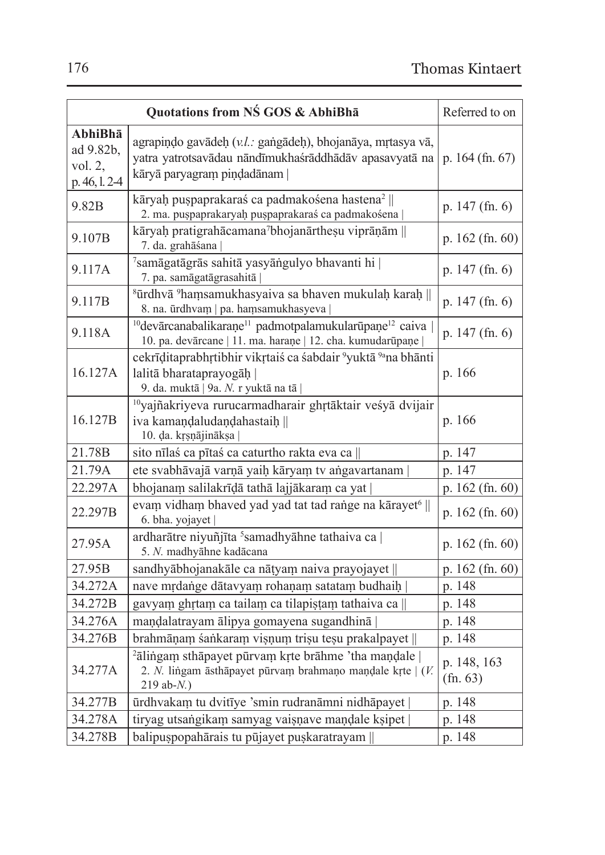| Quotations from NŚ GOS & AbhiBha                    |                                                                                                                                                          | Referred to on          |
|-----------------------------------------------------|----------------------------------------------------------------------------------------------------------------------------------------------------------|-------------------------|
| AbhiBhā<br>ad 9.82b.<br>vol. $2$ ,<br>p. 46, l. 2-4 | agrapiņdo gavādeh (v.l.: gangādeh), bhojanāya, mrtasya vā,<br>yatra yatrotsavādau nāndīmukhaśrāddhādāv apasavyatā na<br>kāryā paryagram piņdadānam       | p. $164$ (fn. 67)       |
| 9.82B                                               | kāryah puspaprakaraś ca padmakośena hastena <sup>2</sup>   <br>2. ma. puspaprakaryah puspaprakaraś ca padmakośena                                        | p. $147$ (fn. 6)        |
| 9.107B                                              | kāryaḥ pratigrahācamana7bhojanārtheṣu viprāṇām   <br>7. da. grahāśana                                                                                    | p. $162$ (fn. 60)       |
| 9.117A                                              | <sup>7</sup> samāgatāgrās sahitā yasyāngulyo bhavanti hi  <br>7. pa. samāgatāgrasahitā                                                                   |                         |
| 9.117B                                              | <sup>8</sup> ūrdhvā <sup>9</sup> hamsamukhasyaiva sa bhaven mukulaḥ karaḥ   <br>8. na. ūrdhvam   pa. hamsamukhasyeva                                     | p. 147 (fn. 6)          |
| 9.118A                                              | <sup>10</sup> devārcanabalikaraņe <sup>11</sup> padmotpalamukularūpaņe <sup>12</sup> caiva<br>10. pa. devārcane   11. ma. haraņe   12. cha. kumudarūpaņe | p. 147 (fn. 6)          |
| 16.127A                                             | cekrīditaprabhrtibhir vikrtais ca sabdair <sup>9</sup> yuktā <sup>9a</sup> na bhānti<br>lalitā bharataprayogāh<br>9. da. muktā   9a. N. r yuktā na tā    | p. 166                  |
| 16.127B                                             | <sup>10</sup> yajñakriyeva rurucarmadharair ghrtāktair veśyā dvijair<br>iva kamandaludandahastaih   <br>10. da. krsnājināksa                             | p. 166                  |
| 21.78B                                              | sito nīlas ca pītas ca caturtho rakta eva ca                                                                                                             |                         |
| 21.79A                                              | ete svabhāvajā varņā yaiņ kāryam tv angavartanam                                                                                                         | p. 147                  |
| 22.297A                                             | bhojanam salilakrīdā tathā lajjākaram ca yat                                                                                                             | p. 162 (fn. 60)         |
| 22.297B                                             | evam vidham bhaved yad yad tat tad range na kārayet <sup>6</sup>   <br>6. bha. yojayet                                                                   | p. 162 (fn. 60)         |
| 27.95A                                              | ardharātre niyuñjīta <sup>5</sup> samadhyāhne tathaiva ca  <br>5. N. madhyāhne kadācana                                                                  | p. $162$ (fn. 60)       |
| 27.95B                                              | sandhyābhojanakāle ca nātyam naiva prayojayet                                                                                                            |                         |
| 34.272A                                             | nave mrdange dātavyam rohaņam satatam budhaiņ                                                                                                            | p. 148                  |
| 34.272B                                             | gavyam ghrtam ca tailam ca tilapistam tathaiva ca                                                                                                        | p. 148                  |
| 34.276A                                             | maņdalatrayam ālipya gomayena sugandhinā                                                                                                                 | p. 148                  |
| 34.276B                                             | brahmāņam śankaram vișņum trișu teșu prakalpayet                                                                                                         | p. 148                  |
| 34.277A                                             | <sup>2</sup> ālingam sthāpayet pūrvam krte brāhme 'tha maņdale  <br>2. N. lingam āsthāpayet pūrvam brahmaņo maņdale krte   (V.<br>$219$ ab- $N.$ )       | p. 148, 163<br>(fn. 63) |
| 34.277B                                             | ūrdhvakam tu dvitīye 'smin rudranāmni nidhāpayet                                                                                                         |                         |
| 34.278A                                             | tiryag utsangikam samyag vaisnave mandale ksipet                                                                                                         |                         |
| 34.278B                                             | balipuspopahārais tu pūjayet puskaratrayam                                                                                                               | p. 148                  |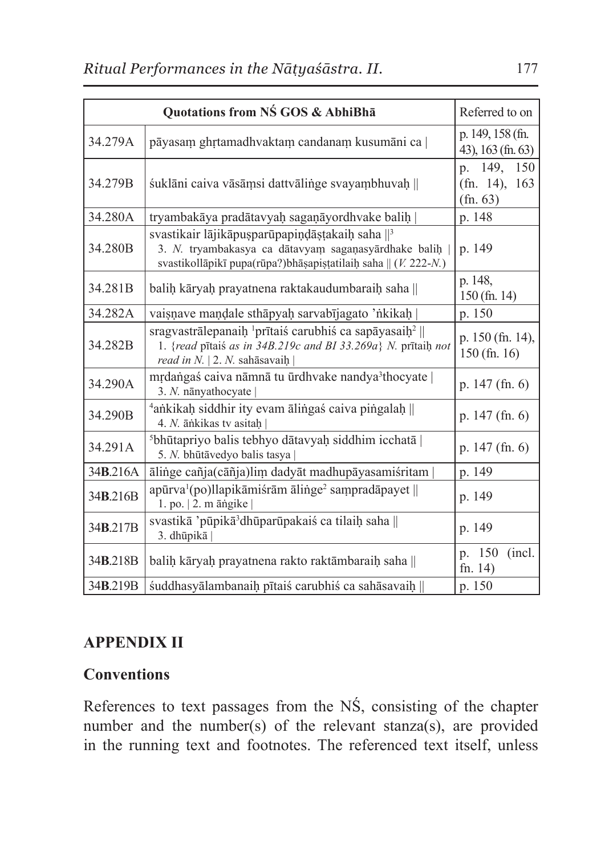| Quotations from NS GOS & AbhiBha |                                                                                                                                                                                        | Referred to on                                               |
|----------------------------------|----------------------------------------------------------------------------------------------------------------------------------------------------------------------------------------|--------------------------------------------------------------|
| 34.279A                          | pāyasam ghrtamadhvaktam candanam kusumāni ca                                                                                                                                           | p. 149, 158 (fn.<br>43), 163 (fn. 63)                        |
| 34.279B                          | śuklāni caiva vāsāmsi dattvālinge svayambhuvaḥ                                                                                                                                         | 149.<br>150<br>p.<br>163<br>$(\text{fn. } 14)$ ,<br>(fn. 63) |
| 34.280A                          | tryambakāya pradātavyah sagaņāyordhvake balih                                                                                                                                          | p. 148                                                       |
| 34.280B                          | svastikair lājikāpusparūpapiņdāstakaiņ saha $\mathbb{I}^3$<br>3. N. tryambakasya ca dātavyam saganasyārdhake balih<br>svastikollāpikī pupa(rūpa?)bhāṣapiṣṭatilaiḥ saha    (V. 222-N.)  | p. 149                                                       |
| 34.281B                          | balih kāryah prayatnena raktakaudumbaraih saha                                                                                                                                         | p. 148,<br>$150$ (fn. 14)                                    |
| 34.282A                          | vaisnave mandale sthāpyaḥ sarvabījagato 'nkikaḥ                                                                                                                                        | p. 150                                                       |
| 34.282B                          | sragyastrālepanaih <sup>1</sup> prītais carubhis ca sapāyasaih <sup>2</sup>   <br>1. {read pitaiś as in 34B.219c and BI 33.269a} N. pritaih not<br>read in $N$ .   2. $N$ . sahāsavaih | p. 150 (fn. 14),<br>$150$ (fn. 16)                           |
| 34.290A                          | mrdangaś caiva nāmnā tu ūrdhvake nandya <sup>3</sup> thocyate  <br>3. N. nānyathocyate                                                                                                 | p. $147$ (fn. 6)                                             |
| 34.290B                          | <sup>4</sup> ankikah siddhir ity evam ālingas caiva pingalah   <br>4. N. ānkikas tv asitah                                                                                             | p. $147$ (fn. 6)                                             |
| 34.291A                          | <sup>5</sup> bhūtapriyo balis tebhyo dātavyah siddhim icchatā  <br>5. N. bhūtāvedyo balis tasya                                                                                        | p. $147$ (fn. 6)                                             |
| 34B.216A                         | ālinge cañja(cāñja)lim dadyāt madhupāyasamiśritam                                                                                                                                      | p. 149                                                       |
| 34 <b>B.216</b> B                | $apūrva1(po)llapikāmišrām ālinge2 sampradāpayet   $<br>$1.$ po. $ 2.$ m $\overline{a}$ ngike                                                                                           | p. 149                                                       |
| 34 <b>B.217B</b>                 | svastikā 'pūpikā dhūparūpakaiś ca tilaih saha   <br>3. dhūpikā                                                                                                                         | p. 149                                                       |
| 34 <b>B.218</b> B                | balih kāryaḥ prayatnena rakto raktāmbaraiḥ saha                                                                                                                                        | p. 150<br>(incl.)<br>fn. $14)$                               |
| 34 <b>B.219B</b>                 | śuddhasyālambanaih pītaiś carubhiś ca sahāsavaih                                                                                                                                       | p. 150                                                       |

# **APPENDIX II**

# **Conventions**

References to text passages from the NŚ, consisting of the chapter number and the number(s) of the relevant stanza(s), are provided in the running text and footnotes. The referenced text itself, unless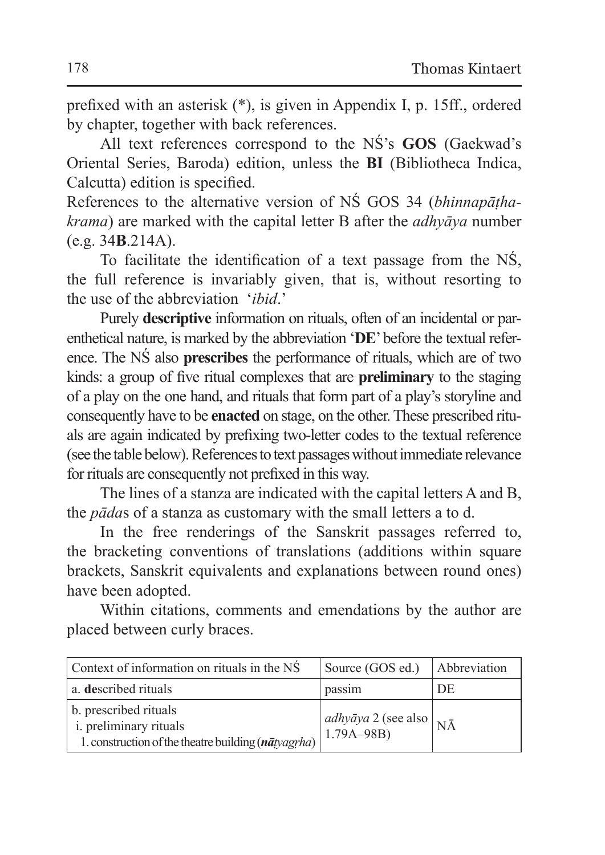prefixed with an asterisk (\*), is given in Appendix I, p. 15ff., ordered by chapter, together with back references.

All text references correspond to the NŚ's **GOS** (Gaekwad's Oriental Series, Baroda) edition, unless the **BI** (Bibliotheca Indica, Calcutta) edition is specified.

References to the alternative version of NŚ GOS 34 (*bhinnapāṭhakrama*) are marked with the capital letter B after the *adhyāya* number (e.g. 34**B**.214A).

To facilitate the identification of a text passage from the NŚ, the full reference is invariably given, that is, without resorting to the use of the abbreviation '*ibid*.'

Purely **descriptive** information on rituals, often of an incidental or parenthetical nature, is marked by the abbreviation '**DE**' before the textual reference. The NŚ also **prescribes** the performance of rituals, which are of two kinds: a group of five ritual complexes that are **preliminary** to the staging of a play on the one hand, and rituals that form part of a play's storyline and consequently have to be **enacted** on stage, on the other. These prescribed rituals are again indicated by prefixing two-letter codes to the textual reference (see the table below). References to text passages without immediate relevance for rituals are consequently not prefixed in this way.

The lines of a stanza are indicated with the capital letters A and B, the *pāda*s of a stanza as customary with the small letters a to d.

In the free renderings of the Sanskrit passages referred to, the bracketing conventions of translations (additions within square brackets, Sanskrit equivalents and explanations between round ones) have been adopted.

Within citations, comments and emendations by the author are placed between curly braces.

| Context of information on rituals in the NS                                                                           | Source (GOS ed.)                                 | Abbreviation |
|-----------------------------------------------------------------------------------------------------------------------|--------------------------------------------------|--------------|
| a. described rituals                                                                                                  | passim                                           | DE           |
| b. prescribed rituals<br><i>i.</i> preliminary rituals<br>1. construction of the theatre building $(n\bar{a}tyagrha)$ | <i>adhyāya</i> 2 (see also $N\bar{A}$ 1.79A–98B) |              |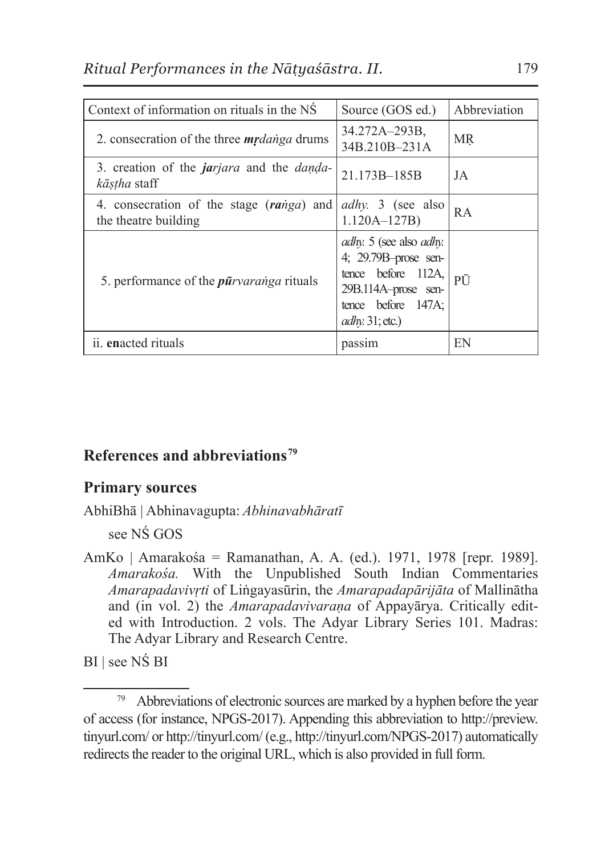| Context of information on rituals in the NS                                     | Source (GOS ed.)                                                                                                                                           | Abbreviation |
|---------------------------------------------------------------------------------|------------------------------------------------------------------------------------------------------------------------------------------------------------|--------------|
| 2. consecration of the three <i>mrdanga</i> drums                               | 34.272A-293B.<br>34B.210B-231A                                                                                                                             | МR           |
| 3. creation of the <i>jarjara</i> and the <i>danda</i> -<br><i>kāstha</i> staff | 21.173B-185B                                                                                                                                               | JA           |
| 4. consecration of the stage (ranga) and<br>the theatre building                | <i>adhy</i> . 3 (see also<br>$1.120A - 127B$                                                                                                               | <b>RA</b>    |
| 5. performance of the <i>pūrvaranga</i> rituals                                 | <i>adhy</i> . 5 (see also <i>adhy</i> .<br>4; 29.79B-prose sen-<br>tence before 112A,<br>29B.114A-prose sen-<br>tence before $147A$ ;<br>$adhy: 31;$ etc.) | PŪ           |
| ii. enacted rituals                                                             | passim                                                                                                                                                     | EN           |

#### **References and abbreviations79**

#### **Primary sources**

AbhiBhā | Abhinavagupta: *Abhinavabhāratī*

see NŚ GOS

AmKo | Amarakośa = Ramanathan, A. A. (ed.). 1971, 1978 [repr. 1989]. *Amarakośa.* With the Unpublished South Indian Commentaries *Amarapadavivṛti* of Liṅgayasūrin, the *Amarapadapārijāta* of Mallinātha and (in vol. 2) the *Amarapadavivaraṇa* of Appayārya. Critically edited with Introduction. 2 vols. The Adyar Library Series 101. Madras: The Adyar Library and Research Centre.

BI | see NŚ BI

<sup>79</sup> Abbreviations of electronic sources are marked by a hyphen before the year of access (for instance, NPGS-2017). Appending this abbreviation to http://preview. tinyurl.com/ or http://tinyurl.com/ (e.g., http://tinyurl.com/NPGS-2017) automatically redirects the reader to the original URL, which is also provided in full form.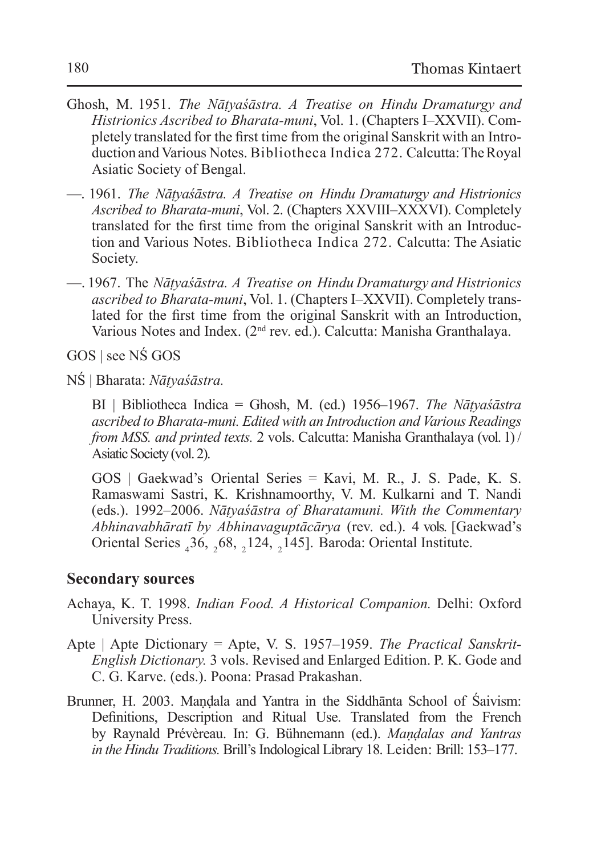- Ghosh, M. 1951. *The Nāṭyaśāstra. A Treatise on Hindu Dramaturgy and Histrionics Ascribed to Bharata-muni*, Vol. 1. (Chapters I–XXVII). Completely translated for the first time from the original Sanskrit with an Introduction and Various Notes. Bibliotheca Indica 272. Calcutta: The Royal Asiatic Society of Bengal.
- —. 1961. *The Nāṭyaśāstra. A Treatise on Hindu Dramaturgy and Histrionics Ascribed to Bharata-muni*, Vol. 2. (Chapters XXVIII–XXXVI). Completely translated for the first time from the original Sanskrit with an Introduction and Various Notes. Bibliotheca Indica 272. Calcutta: The Asiatic Society.
- —. 1967. The *Nāṭyaśāstra. A Treatise on Hindu Dramaturgy and Histrionics ascribed to Bharata-muni*, Vol. 1. (Chapters I–XXVII). Completely translated for the first time from the original Sanskrit with an Introduction, Various Notes and Index. (2nd rev. ed.). Calcutta: Manisha Granthalaya.

GOS | see NŚ GOS

NŚ | Bharata: *Nāṭyaśāstra.*

BI | Bibliotheca Indica = Ghosh, M. (ed.) 1956–1967. *The Nāṭyaśāstra ascribed to Bharata-muni. Edited with an Introduction and Various Readings from MSS. and printed texts.* 2 vols. Calcutta: Manisha Granthalaya (vol. 1) / Asiatic Society (vol. 2).

GOS | Gaekwad's Oriental Series = Kavi, M. R., J. S. Pade, K. S. Ramaswami Sastri, K. Krishnamoorthy, V. M. Kulkarni and T. Nandi (eds.). 1992–2006. *Nāṭyaśāstra of Bharatamuni. With the Commentary Abhinavabhāratī by Abhinavaguptācārya* (rev. ed.). 4 vols. [Gaekwad's Oriental Series  $_436$ ,  $_268$ ,  $_2124$ ,  $_2145$ ]. Baroda: Oriental Institute.

#### **Secondary sources**

- Achaya, K. T. 1998. *Indian Food. A Historical Companion.* Delhi: Oxford University Press.
- Apte | Apte Dictionary = Apte, V. S. 1957–1959. *The Practical Sanskrit-English Dictionary.* 3 vols. Revised and Enlarged Edition. P. K. Gode and C. G. Karve. (eds.). Poona: Prasad Prakashan.
- Brunner, H. 2003. Maṇḍala and Yantra in the Siddhānta School of Śaivism: Definitions, Description and Ritual Use. Translated from the French by Raynald Prévèreau. In: G. Bühnemann (ed.). *Maṇḍalas and Yantras in the Hindu Traditions.* Brill's Indological Library 18. Leiden: Brill: 153–177.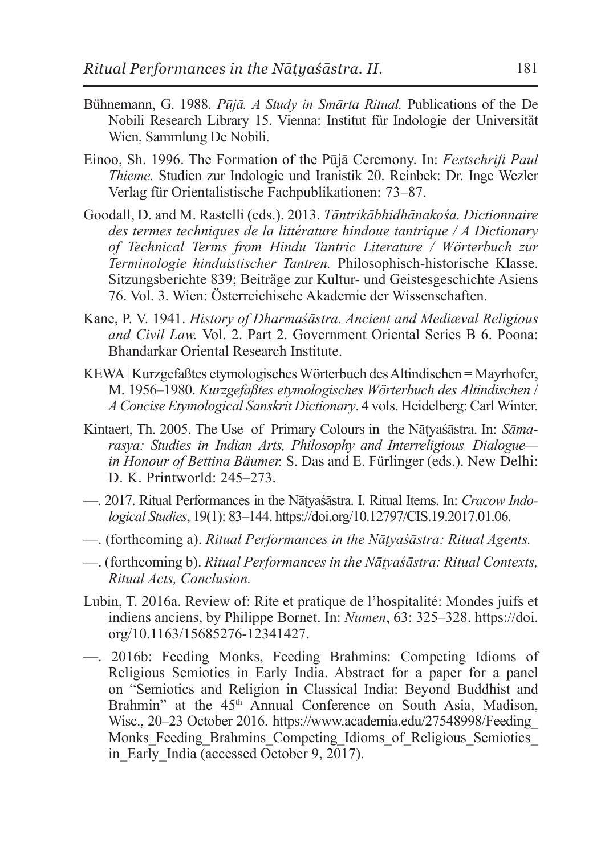- Bühnemann, G. 1988. *Pūjā. A Study in Smārta Ritual.* Publications of the De Nobili Research Library 15. Vienna: Institut für Indologie der Universität Wien, Sammlung De Nobili.
- Einoo, Sh. 1996. The Formation of the Pūjā Ceremony. In: *Festschrift Paul Thieme.* Studien zur Indologie und Iranistik 20. Reinbek: Dr. Inge Wezler Verlag für Orientalistische Fachpublikationen: 73–87.
- Goodall, D. and M. Rastelli (eds.). 2013. *Tāntrikābhidhānakośa. Dictionnaire des termes techniques de la littérature hindoue tantrique / A Dictionary of Technical Terms from Hindu Tantric Literature / Wörterbuch zur Terminologie hinduistischer Tantren.* Philosophisch-historische Klasse. Sitzungsberichte 839; Beiträge zur Kultur- und Geistesgeschichte Asiens 76. Vol. 3. Wien: Österreichische Akademie der Wissenschaften.
- Kane, P. V. 1941. *History of Dharmaśāstra. Ancient and Mediæval Religious and Civil Law.* Vol. 2. Part 2. Government Oriental Series B 6. Poona: Bhandarkar Oriental Research Institute.
- KEWA | Kurzgefaßtes etymologisches Wörterbuch des Altindischen = Mayrhofer, M. 1956–1980. *Kurzgefaßtes etymologisches Wörterbuch des Altindischen* / *AConcise Etymological Sanskrit Dictionary*. 4 vols. Heidelberg: Carl Winter.
- Kintaert, Th. 2005. The Use of Primary Colours in the Nāṭyaśāstra. In: *Sāmarasya: Studies in Indian Arts, Philosophy and Interreligious Dialogue in Honour of Bettina Bäumer.* S. Das and E. Fürlinger (eds.). New Delhi: D. K. Printworld: 245–273.
- —. 2017. Ritual Performances in the Nāṭyaśāstra. I. Ritual Items. In: *Cracow Indological Studies*, 19(1): 83–144. https://doi.org/10.12797/CIS.19.2017.01.06.
- —. (forthcoming a). *Ritual Performances in the Nāṭyaśāstra: Ritual Agents.*
- —. (forthcoming b). *Ritual Performances in the Nāṭyaśāstra: Ritual Contexts, Ritual Acts, Conclusion.*
- Lubin, T. 2016a. Review of: Rite et pratique de l'hospitalité: Mondes juifs et indiens anciens, by Philippe Bornet. In: *Numen*, 63: 325–328. https://doi. org/10.1163/15685276-12341427.
- —. 2016b: Feeding Monks, Feeding Brahmins: Competing Idioms of Religious Semiotics in Early India. Abstract for a paper for a panel on "Semiotics and Religion in Classical India: Beyond Buddhist and Brahmin" at the 45<sup>th</sup> Annual Conference on South Asia, Madison, Wisc., 20–23 October 2016. https://www.academia.edu/27548998/Feeding\_ Monks Feeding Brahmins Competing Idioms of Religious Semiotics in Early India (accessed October 9, 2017).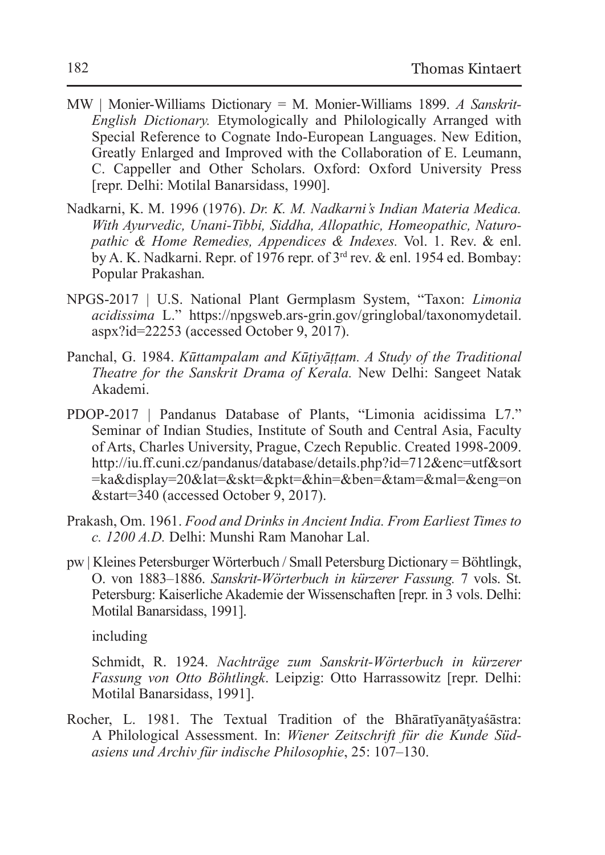- MW | Monier-Williams Dictionary = M. Monier-Williams 1899. *A Sanskrit-English Dictionary.* Etymologically and Philologically Arranged with Special Reference to Cognate Indo-European Languages. New Edition, Greatly Enlarged and Improved with the Collaboration of E. Leumann, C. Cappeller and Other Scholars. Oxford: Oxford University Press [repr. Delhi: Motilal Banarsidass, 1990].
- Nadkarni, K. M. 1996 (1976). *Dr. K. M. Nadkarni's Indian Materia Medica. With Ayurvedic, Unani-Tibbi, Siddha, Allopathic, Homeopathic, Naturopathic & Home Remedies, Appendices & Indexes.* Vol. 1. Rev. & enl. by A. K. Nadkarni. Repr. of  $1976$  repr. of  $3<sup>rd</sup>$  rev. & enl. 1954 ed. Bombay: Popular Prakashan.
- NPGS-2017 | U.S. National Plant Germplasm System, "Taxon: *Limonia acidissima* L." https://npgsweb.ars-grin.gov/gringlobal/taxonomydetail. aspx?id=22253 (accessed October 9, 2017).
- Panchal, G. 1984. *Kūttampalam and Kūṭiyāṭṭam. A Study of the Traditional Theatre for the Sanskrit Drama of Kerala.* New Delhi: Sangeet Natak Akademi.
- PDOP-2017 | Pandanus Database of Plants, "Limonia acidissima L7." Seminar of Indian Studies, Institute of South and Central Asia, Faculty of Arts, Charles University, Prague, Czech Republic. Created 1998-2009. http://iu.ff.cuni.cz/pandanus/database/details.php?id=712&enc=utf&sort =ka&display=20&lat=&skt=&pkt=&hin=&ben=&tam=&mal=&eng=on &start=340 (accessed October 9, 2017).
- Prakash, Om. 1961. *Food and Drinks in Ancient India. From Earliest Times to c. 1200 A.D.* Delhi: Munshi Ram Manohar Lal.
- pw | Kleines Petersburger Wörterbuch / Small Petersburg Dictionary = Böhtlingk, O. von 1883–1886. *Sanskrit-Wörterbuch in kürzerer Fassung.* 7 vols. St. Petersburg: Kaiserliche Akademie der Wissenschaften [repr. in 3 vols. Delhi: Motilal Banarsidass, 1991].

including

Schmidt, R. 1924. *Nachträge zum Sanskrit-Wörterbuch in kürzerer Fassung von Otto Böhtlingk*. Leipzig: Otto Harrassowitz [repr. Delhi: Motilal Banarsidass, 1991].

Rocher, L. 1981. The Textual Tradition of the Bhāratīyanāṭyaśāstra: A Philological Assessment. In: *Wiener Zeitschrift für die Kunde Südasiens und Archiv für indische Philosophie*, 25: 107–130.